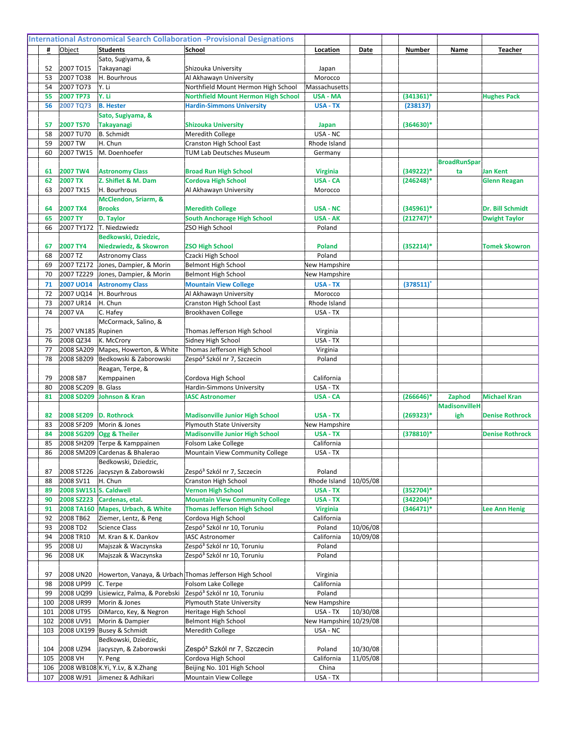|            |                                   | Sato, Sugiyama, &                               |                                                                                |                                    |          |                          |                                |                         |
|------------|-----------------------------------|-------------------------------------------------|--------------------------------------------------------------------------------|------------------------------------|----------|--------------------------|--------------------------------|-------------------------|
| 52         | 2007 TO15                         | Takayanagi                                      | Shizouka University                                                            | Japan                              |          |                          |                                |                         |
| 53         | 2007 TO38                         | H. Bourhrous                                    | Al Akhawayn University                                                         | Morocco                            |          |                          |                                |                         |
| 54         | 2007 TO73<br><b>2007 TP73</b>     | lY. Li                                          | Northfield Mount Hermon High School                                            | Massachusetts                      |          |                          |                                |                         |
| 55<br>56   |                                   | Y. Li<br><b>B. Hester</b>                       | <b>Northfield Mount Hermon High School</b><br><b>Hardin-Simmons University</b> | <b>USA - MA</b><br><b>USA - TX</b> |          | $(341361)^*$<br>(238137) |                                | <b>Hughes Pack</b>      |
|            | 2007 TQ73                         | Sato, Sugiyama, &                               |                                                                                |                                    |          |                          |                                |                         |
| 57         | 2007 TS70                         | <b>Takayanagi</b>                               | <b>Shizouka University</b>                                                     | <b>Japan</b>                       |          | $(364630)*$              |                                |                         |
| 58         | 2007 TU70                         | B. Schmidt                                      | Meredith College                                                               | USA - NC                           |          |                          |                                |                         |
| 59         | 2007 TW                           | H. Chun                                         | Cranston High School East                                                      | Rhode Island                       |          |                          |                                |                         |
| 60         | 2007 TW15                         | M. Doenhoefer                                   | TUM Lab Deutsches Museum                                                       | Germany                            |          |                          |                                |                         |
|            |                                   |                                                 |                                                                                |                                    |          |                          | <b>BroadRunSpar</b>            |                         |
| 61         | 2007 TW4                          | <b>Astronomy Class</b>                          | <b>Broad Run High School</b>                                                   | <b>Virginia</b>                    |          | $(349222)*$              | ta                             | <b>Jan Kent</b>         |
| 62         | <b>2007 TX</b>                    | Z. Shiflet & M. Dam                             | <b>Cordova High School</b>                                                     | <b>USA - CA</b>                    |          | $(246248)*$              |                                | <b>Glenn Reagan</b>     |
| 63         | 2007 TX15                         | H. Bourhrous                                    | Al Akhawayn University                                                         | Morocco                            |          |                          |                                |                         |
|            |                                   | McClendon, Sriarm, &                            |                                                                                |                                    |          |                          |                                |                         |
| 64         | <b>2007 TX4</b>                   | <b>Brooks</b>                                   | <b>Meredith College</b>                                                        | <b>USA - NC</b>                    |          | $(345961)^*$             |                                | <b>Dr. Bill Schmidt</b> |
| 65         | <b>2007 TY</b>                    | D. Taylor                                       | <b>South Anchorage High School</b>                                             | <b>USA - AK</b>                    |          | $(212747)^*$             |                                | <b>Dwight Taylor</b>    |
| 66         | 2007 TY172                        | T. Niedzwiedz                                   | ZSO High School                                                                | Poland                             |          |                          |                                |                         |
|            |                                   | Bedkowski, Dziedzic,                            |                                                                                |                                    |          |                          |                                |                         |
| 67<br>68   | 2007 TY4<br>2007 TZ               | Niedzwiedz, & Skowron<br><b>Astronomy Class</b> | <b>ZSO High School</b><br>Czacki High School                                   | <b>Poland</b><br>Poland            |          | $(352214)^*$             |                                | <b>Tomek Skowron</b>    |
| 69         | 2007 TZ172                        | Jones, Dampier, & Morin                         | <b>Belmont High School</b>                                                     | New Hampshire                      |          |                          |                                |                         |
| 70         | 2007 TZ229                        | Jones, Dampier, & Morin                         | <b>Belmont High School</b>                                                     | New Hampshire                      |          |                          |                                |                         |
| 71         | <b>2007 UO14</b>                  | <b>Astronomy Class</b>                          | <b>Mountain View College</b>                                                   | USA - TX                           |          | (378511)                 |                                |                         |
| 72         | 2007 UQ14                         | H. Bourhrous                                    | Al Akhawayn University                                                         | Morocco                            |          |                          |                                |                         |
| 73         | 2007 UR14                         | H. Chun                                         | Cranston High School East                                                      | Rhode Island                       |          |                          |                                |                         |
| 74         | 2007 VA                           | C. Hafey                                        | Brookhaven College                                                             | USA - TX                           |          |                          |                                |                         |
|            |                                   | McCormack, Salino, &                            |                                                                                |                                    |          |                          |                                |                         |
| 75         | 2007 VN185 Rupinen                |                                                 | Thomas Jefferson High School                                                   | Virginia                           |          |                          |                                |                         |
| 76         | 2008 QZ34                         | K. McCrory                                      | Sidney High School                                                             | USA - TX                           |          |                          |                                |                         |
| 77         | 2008 SA209                        | Mapes, Howerton, & White                        | Thomas Jefferson High School                                                   | Virginia                           |          |                          |                                |                         |
| 78         | 2008 SB209                        | Bedkowski & Zaborowski                          | Zespó <sup>3</sup> Szkól nr 7, Szczecin                                        | Poland                             |          |                          |                                |                         |
|            |                                   | Reagan, Terpe, &                                |                                                                                |                                    |          |                          |                                |                         |
| 79         | 2008 SB7                          | Kemppainen                                      | Cordova High School                                                            | California                         |          |                          |                                |                         |
| 80         | 2008 SC209                        | B. Glass                                        | Hardin-Simmons University                                                      | USA - TX                           |          |                          |                                |                         |
| 81         | 2008 SD209                        | Johnson & Kran                                  | <b>IASC Astronomer</b>                                                         | USA - CA                           |          | $(266646)*$              | Zaphod<br><b>MadisonvilleH</b> | <b>Michael Kran</b>     |
| 82         | 2008 SE209                        | <b>D. Rothrock</b>                              | <b>Madisonville Junior High School</b>                                         | USA - TX                           |          | $(269323)*$              | igh                            | <b>Denise Rothrock</b>  |
| 83         | 2008 SF209                        | Morin & Jones                                   | <b>Plymouth State University</b>                                               | New Hampshire                      |          |                          |                                |                         |
| 84         | 2008 SG209                        | <b>Ogg &amp; Theiler</b>                        | <b>Madisonville Junior High School</b>                                         | USA - TX                           |          | $(378810)*$              |                                | <b>Denise Rothrock</b>  |
| 85         | 2008 SH209                        | Terpe & Kamppainen                              | Folsom Lake College                                                            | California                         |          |                          |                                |                         |
| 86         |                                   | 2008 SM209 Cardenas & Bhalerao                  | Mountain View Community College                                                | USA - TX                           |          |                          |                                |                         |
|            |                                   | Bedkowski, Dziedzic,                            |                                                                                |                                    |          |                          |                                |                         |
| 87         | 2008 ST226                        | Jacyszyn & Zaborowski                           | Zespó <sup>3</sup> Szkól nr 7, Szczecin                                        | Poland                             |          |                          |                                |                         |
| 88         | 2008 SV11                         | H. Chun                                         | Cranston High School                                                           | Rhode Island                       | 10/05/08 |                          |                                |                         |
| 89         | 2008 SW151 S. Caldwell            |                                                 | <b>Vernon High School</b>                                                      | USA - TX                           |          | $(352704)^*$             |                                |                         |
| 90         | 2008 SZ223                        | Cardenas, etal.                                 | <b>Mountain View Community College</b>                                         | USA - TX                           |          | $(342204)*$              |                                |                         |
| 91         | 2008 TA160                        | Mapes, Urbach, & White                          | <b>Thomas Jefferson High School</b>                                            | <b>Virginia</b>                    |          | $(346471)^*$             |                                | <b>Lee Ann Henig</b>    |
| 92<br>93   | 2008 TB62<br>2008 TD <sub>2</sub> | Ziemer, Lentz, & Peng<br><b>Science Class</b>   | Cordova High School<br>Zespó <sup>3</sup> Szkól nr 10, Toruniu                 | California<br>Poland               | 10/06/08 |                          |                                |                         |
| 94         | 2008 TR10                         | M. Kran & K. Dankov                             | <b>IASC Astronomer</b>                                                         | California                         | 10/09/08 |                          |                                |                         |
| 95         | 2008 UJ                           | Majszak & Waczynska                             | Zespó <sup>3</sup> Szkól nr 10, Toruniu                                        | Poland                             |          |                          |                                |                         |
| 96         | 2008 UK                           | Majszak & Waczynska                             | Zespó <sup>3</sup> Szkól nr 10, Toruniu                                        | Poland                             |          |                          |                                |                         |
|            |                                   |                                                 |                                                                                |                                    |          |                          |                                |                         |
| 97         | 2008 UN20                         |                                                 | Howerton, Vanaya, & Urbach Thomas Jefferson High School                        | Virginia                           |          |                          |                                |                         |
| 98         | 2008 UP99                         | C. Terpe                                        | Folsom Lake College                                                            | California                         |          |                          |                                |                         |
| 99         | 2008 UQ99                         | Lisiewicz, Palma, & Porebski                    | Zespó <sup>3</sup> Szkól nr 10, Toruniu                                        | Poland                             |          |                          |                                |                         |
| 100        | 2008 UR99                         | Morin & Jones                                   | <b>Plymouth State University</b>                                               | New Hampshire                      |          |                          |                                |                         |
| 101        | 2008 UT95                         | DiMarco, Key, & Negron                          | Heritage High School                                                           | USA - TX                           | 10/30/08 |                          |                                |                         |
| 102        | 2008 UV91                         | Morin & Dampier                                 | <b>Belmont High School</b>                                                     | New Hampshire 10/29/08             |          |                          |                                |                         |
| 103        | 2008 UX199                        | Busey & Schmidt                                 | Meredith College                                                               | USA - NC                           |          |                          |                                |                         |
|            | 2008 UZ94                         | Bedkowski, Dziedzic,<br>Jacyszyn, & Zaborowski  | Zespó <sup>3</sup> Szkól nr 7, Szczecin                                        |                                    | 10/30/08 |                          |                                |                         |
| 104<br>105 | 2008 VH                           | Y. Peng                                         | Cordova High School                                                            | Poland<br>California               | 11/05/08 |                          |                                |                         |
| 106        |                                   | 2008 WB108 K.Yi, Y.Lv, & X.Zhang                | Beijing No. 101 High School                                                    | China                              |          |                          |                                |                         |
| 107        | 2008 WJ91                         | Jimenez & Adhikari                              | Mountain View College                                                          | USA - TX                           |          |                          |                                |                         |
|            |                                   |                                                 |                                                                                |                                    |          |                          |                                |                         |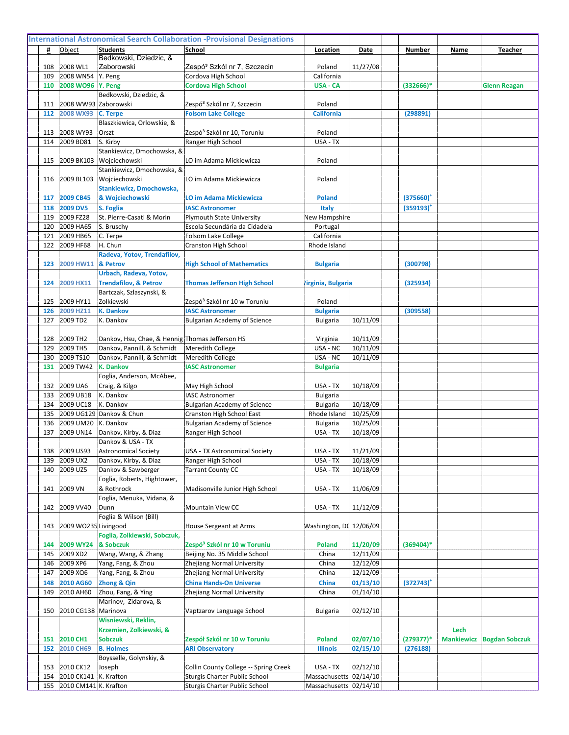|            |                           | Bedkowski, Dziedzic, &                          |                                                                               |                                    |          |                |      |                                  |
|------------|---------------------------|-------------------------------------------------|-------------------------------------------------------------------------------|------------------------------------|----------|----------------|------|----------------------------------|
| 108        | 2008 WL1                  | Zaborowski                                      | Zespó <sup>3</sup> Szkól nr 7, Szczecin                                       | Poland                             | 11/27/08 |                |      |                                  |
| 109        | 2008 WN54                 | Y. Peng                                         | Cordova High School                                                           | California                         |          |                |      |                                  |
| 110        | 2008 WO96                 | Y. Peng<br>Bedkowski, Dziedzic, &               | <b>Cordova High School</b>                                                    | USA - CA                           |          | $(332666)*$    |      | <b>Glenn Reagan</b>              |
| 111        | 2008 WW93 Zaborowski      |                                                 | Zespó <sup>3</sup> Szkól nr 7, Szczecin                                       | Poland                             |          |                |      |                                  |
| 112        | 2008 WX93                 | C. Terpe                                        | <b>Folsom Lake College</b>                                                    | <b>California</b>                  |          | (298891)       |      |                                  |
|            |                           | Blaszkiewica, Orlowskie, &                      |                                                                               |                                    |          |                |      |                                  |
| 113        | 2008 WY93                 | Orszt                                           | Zespó <sup>3</sup> Szkól nr 10, Toruniu                                       | Poland                             |          |                |      |                                  |
| 114        | 2009 BD81                 | S. Kirby                                        | Ranger High School                                                            | USA - TX                           |          |                |      |                                  |
|            |                           | Stankiewicz, Dmochowska, &                      |                                                                               |                                    |          |                |      |                                  |
| 115        |                           | 2009 BK103 Wojciechowski                        | LO im Adama Mickiewicza                                                       | Poland                             |          |                |      |                                  |
|            |                           | Stankiewicz, Dmochowska, &                      |                                                                               |                                    |          |                |      |                                  |
| 116        |                           | 2009 BL103 Wojciechowski                        | LO im Adama Mickiewicza                                                       | Poland                             |          |                |      |                                  |
|            |                           | Stankiewicz, Dmochowska,                        |                                                                               |                                    |          |                |      |                                  |
| 117        | 2009 CB45                 | & Wojciechowski                                 | <b>LO im Adama Mickiewicza</b>                                                | <b>Poland</b>                      |          | $(375660)^{n}$ |      |                                  |
| 118        | <b>2009 DV5</b>           | S. Foglia                                       | <b>IASC Astronomer</b>                                                        | Italy                              |          | (359193)       |      |                                  |
| 119        | 2009 FZ28                 | St. Pierre-Casati & Morin                       | <b>Plymouth State University</b>                                              | New Hampshire                      |          |                |      |                                  |
| 120        | 2009 HA65                 | S. Bruschy                                      | Escola Secundária da Cidadela                                                 | Portugal                           |          |                |      |                                  |
| 121        | 2009 HB65                 | C. Terpe                                        | Folsom Lake College<br>Cranston High School                                   | California                         |          |                |      |                                  |
| 122        | 2009 HF68                 | H. Chun<br>Radeva, Yotov, Trendafilov,          |                                                                               | Rhode Island                       |          |                |      |                                  |
| 123        | 2009 HW11 & Petrov        |                                                 | <b>High School of Mathematics</b>                                             | <b>Bulgaria</b>                    |          | (300798)       |      |                                  |
|            |                           | Urbach, Radeva, Yotov,                          |                                                                               |                                    |          |                |      |                                  |
| 124        | 2009 HX11                 | <b>Trendafilov, &amp; Petrov</b>                | <b>Thomas Jefferson High School</b>                                           | 'irginia, Bulgaria                 |          | (325934)       |      |                                  |
|            |                           | Bartczak, Szlaszynski, &                        |                                                                               |                                    |          |                |      |                                  |
| 125        | 2009 HY11                 | Zolkiewski                                      | Zespó <sup>3</sup> Szkól nr 10 w Toruniu                                      | Poland                             |          |                |      |                                  |
| 126        | 2009 HZ11                 | <b>K. Dankov</b>                                | <b>IASC Astronomer</b>                                                        | <b>Bulgaria</b>                    |          | (309558)       |      |                                  |
| 127        | 2009 TD2                  | K. Dankov                                       | <b>Bulgarian Academy of Science</b>                                           | <b>Bulgaria</b>                    | 10/11/09 |                |      |                                  |
|            |                           |                                                 |                                                                               |                                    |          |                |      |                                  |
| 128        | 2009 TH <sub>2</sub>      | Dankov, Hsu, Chae, & Hennig Thomas Jefferson HS |                                                                               | Virginia                           | 10/11/09 |                |      |                                  |
| 129        | 2009 TH5                  | Dankov, Pannill, & Schmidt                      | <b>Meredith College</b>                                                       | USA - NC                           | 10/11/09 |                |      |                                  |
| 130        | 2009 TS10                 | Dankov, Pannill, & Schmidt                      | Meredith College                                                              | USA - NC                           | 10/11/09 |                |      |                                  |
| 131        | 2009 TW42                 | <b>K. Dankov</b>                                | <b>IASC Astronomer</b>                                                        | <b>Bulgaria</b>                    |          |                |      |                                  |
|            |                           | Foglia, Anderson, McAbee,                       |                                                                               |                                    |          |                |      |                                  |
| 132<br>133 | 2009 UA6<br>2009 UB18     | Craig, & Kilgo<br>K. Dankov                     | May High School<br><b>IASC Astronomer</b>                                     | USA - TX                           | 10/18/09 |                |      |                                  |
| 134        | 2009 UC18                 | K. Dankov                                       | <b>Bulgarian Academy of Science</b>                                           | <b>Bulgaria</b><br><b>Bulgaria</b> | 10/18/09 |                |      |                                  |
| 135        |                           | 2009 UG129 Dankov & Chun                        | Cranston High School East                                                     | Rhode Island                       | 10/25/09 |                |      |                                  |
| 136        | 2009 UM20   K. Dankov     |                                                 | <b>Bulgarian Academy of Science</b>                                           | <b>Bulgaria</b>                    | 10/25/09 |                |      |                                  |
| 137        | 2009 UN14                 | Dankov, Kirby, & Diaz                           | Ranger High School                                                            | USA - TX                           | 10/18/09 |                |      |                                  |
|            |                           | Dankov & USA - TX                               |                                                                               |                                    |          |                |      |                                  |
| 138        | 2009 US93                 | Astronomical Society                            | USA - TX Astronomical Society                                                 | USA - TX                           | 11/21/09 |                |      |                                  |
| 139        | 2009 UX2                  | Dankov, Kirby, & Diaz                           | Ranger High School                                                            | USA - TX                           | 10/18/09 |                |      |                                  |
| 140        | 2009 UZ5                  | Dankov & Sawberger                              | <b>Tarrant County CC</b>                                                      | USA - TX                           | 10/18/09 |                |      |                                  |
|            |                           | Foglia, Roberts, Hightower,                     |                                                                               |                                    |          |                |      |                                  |
| 141        | 2009 VN                   | & Rothrock                                      | Madisonville Junior High School                                               | USA - TX                           | 11/06/09 |                |      |                                  |
|            |                           | Foglia, Menuka, Vidana, &                       |                                                                               |                                    |          |                |      |                                  |
| 142        | 2009 VV40                 | Dunn                                            | Mountain View CC                                                              | USA - TX                           | 11/12/09 |                |      |                                  |
| 143        | 2009 WO235 Livingood      | Foglia & Wilson (Bill)                          | House Sergeant at Arms                                                        | Washington, DC 12/06/09            |          |                |      |                                  |
|            |                           | Foglia, Zolkiewski, Sobczuk,                    |                                                                               |                                    |          |                |      |                                  |
| 144        | 2009 WY24                 | & Sobczuk                                       | Zespó <sup>3</sup> Szkól nr 10 w Toruniu                                      | <b>Poland</b>                      | 11/20/09 | $(369404)*$    |      |                                  |
| 145        | 2009 XD2                  | Wang, Wang, & Zhang                             | Beijing No. 35 Middle School                                                  | China                              | 12/11/09 |                |      |                                  |
| 146        | 2009 XP6                  | Yang, Fang, & Zhou                              | Zhejiang Normal University                                                    | China                              | 12/12/09 |                |      |                                  |
| 147        | 2009 XQ6                  | Yang, Fang, & Zhou                              | Zhejiang Normal University                                                    | China                              | 12/12/09 |                |      |                                  |
| 148        | 2010 AG60                 | Zhong & Qin                                     | <b>China Hands-On Universe</b>                                                | China                              | 01/13/10 | $(372743)^+$   |      |                                  |
| 149        | 2010 AH60                 | Zhou, Fang, & Ying                              | Zhejiang Normal University                                                    | China                              | 01/14/10 |                |      |                                  |
|            |                           | Marinov, Zidarova, &                            |                                                                               |                                    |          |                |      |                                  |
| 150        | 2010 CG138   Marinova     |                                                 | Vaptzarov Language School                                                     | Bulgaria                           | 02/12/10 |                |      |                                  |
|            |                           | Wisniewski, Reklin,                             |                                                                               |                                    |          |                |      |                                  |
|            |                           | Krzemien, Zolkiewski, &                         |                                                                               |                                    |          |                | Lech |                                  |
| 151        | 2010 CH1                  | <b>Sobczuk</b>                                  | Zespół Szkól nr 10 w Toruniu                                                  | <b>Poland</b>                      | 02/07/10 | $(279377)^*$   |      | <b>Mankiewicz Bogdan Sobczuk</b> |
| 152        | 2010 CH69                 | <b>B. Holmes</b>                                | <b>ARI Observatory</b>                                                        | <b>Illinois</b>                    | 02/15/10 | (276188)       |      |                                  |
|            | 2010 CK12                 | Boysselle, Golynskiy, &<br>Joseph               |                                                                               |                                    | 02/12/10 |                |      |                                  |
| 153<br>154 | 2010 CK141   K. Krafton   |                                                 | Collin County College -- Spring Creek<br><b>Sturgis Charter Public School</b> | USA - TX<br>Massachusetts 02/14/10 |          |                |      |                                  |
|            | 155 2010 CM141 K. Krafton |                                                 | <b>Sturgis Charter Public School</b>                                          | Massachusetts 02/14/10             |          |                |      |                                  |
|            |                           |                                                 |                                                                               |                                    |          |                |      |                                  |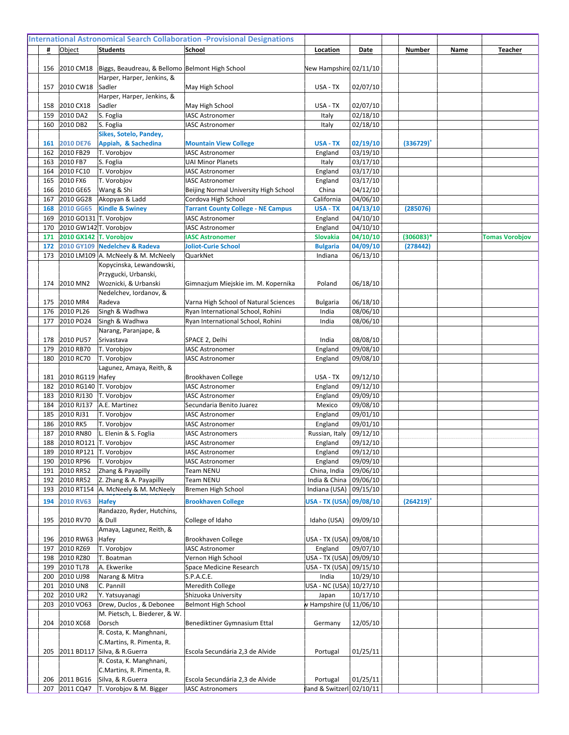| 156        |                         | 2010 CM18   Biggs, Beaudreau, & Bellomo Belmont High School |                                                        | New Hampshire 02/11/10             |          |                |                       |
|------------|-------------------------|-------------------------------------------------------------|--------------------------------------------------------|------------------------------------|----------|----------------|-----------------------|
|            |                         | Harper, Harper, Jenkins, &                                  |                                                        |                                    |          |                |                       |
| 157        | 2010 CW18               | Sadler                                                      | May High School                                        | USA - TX                           | 02/07/10 |                |                       |
|            |                         | Harper, Harper, Jenkins, &                                  |                                                        |                                    |          |                |                       |
| 158        | 2010 CX18               | Sadler                                                      | May High School                                        | USA - TX                           | 02/07/10 |                |                       |
| 159        | 2010 DA2                | S. Foglia                                                   | <b>IASC Astronomer</b>                                 | Italy                              | 02/18/10 |                |                       |
| 160        | 2010 DB2                | S. Foglia                                                   | <b>IASC Astronomer</b>                                 | Italy                              | 02/18/10 |                |                       |
|            |                         | Sikes, Sotelo, Pandey,                                      |                                                        |                                    | 02/19/10 |                |                       |
| 161<br>162 | 2010 DE76<br>2010 FB29  | Appiah, & Sachedina<br>T. Vorobjov                          | <b>Mountain View College</b><br><b>IASC Astronomer</b> | <b>USA - TX</b><br>England         | 03/19/10 | $(336729)^{n}$ |                       |
| 163        | 2010 FB7                | S. Foglia                                                   | <b>UAI Minor Planets</b>                               | Italy                              | 03/17/10 |                |                       |
| 164        | 2010 FC10               | T. Vorobjov                                                 | <b>IASC Astronomer</b>                                 | England                            | 03/17/10 |                |                       |
| 165        | 2010 FX6                | T. Vorobjov                                                 | <b>IASC Astronomer</b>                                 | England                            | 03/17/10 |                |                       |
| 166        | 2010 GE65               | Wang & Shi                                                  | Beijing Normal University High School                  | China                              | 04/12/10 |                |                       |
| 167        | 2010 GG28               | Akopyan & Ladd                                              | Cordova High School                                    | California                         | 04/06/10 |                |                       |
| 168        | 2010 GG65               | <b>Kindle &amp; Swiney</b>                                  | <b>Tarrant County College - NE Campus</b>              | <b>USA - TX</b>                    | 04/13/10 | (285076)       |                       |
| 169        | 2010 GO131 T. Vorobjov  |                                                             | <b>IASC Astronomer</b>                                 | England                            | 04/10/10 |                |                       |
| 170        | 2010 GW142 T. Vorobjov  |                                                             | <b>IASC Astronomer</b>                                 | England                            | 04/10/10 |                |                       |
| 171        | 2010 GX142 T. Vorobjov  |                                                             | <b>IASC Astronomer</b>                                 | <b>Slovakia</b>                    | 04/10/10 | $(306083)*$    | <b>Tomas Vorobjov</b> |
| 172        |                         | 2010 GY109 Nedelchev & Radeva                               | <b>Joliot-Curie School</b>                             | <b>Bulgaria</b>                    | 04/09/10 | (278442)       |                       |
| 173        |                         | 2010 LM109 A. McNeely & M. McNeely                          | QuarkNet                                               | Indiana                            | 06/13/10 |                |                       |
|            |                         | Kopycinska, Lewandowski,                                    |                                                        |                                    |          |                |                       |
|            |                         | Przygucki, Urbanski,                                        |                                                        |                                    |          |                |                       |
| 174        | 2010 MN2                | Woznicki, & Urbanski                                        | Gimnazjum Miejskie im. M. Kopernika                    | Poland                             | 06/18/10 |                |                       |
|            |                         | Nedelchev, Iordanov, &                                      |                                                        |                                    |          |                |                       |
| 175        | 2010 MR4                | Radeva                                                      | Varna High School of Natural Sciences                  | <b>Bulgaria</b>                    | 06/18/10 |                |                       |
| 176        | 2010 PL26               | Singh & Wadhwa                                              | Ryan International School, Rohini                      | India                              | 08/06/10 |                |                       |
| 177        | 2010 PO24               | Singh & Wadhwa<br>Narang, Paranjape, &                      | Ryan International School, Rohini                      | India                              | 08/06/10 |                |                       |
| 178        | 2010 PU57               | Srivastava                                                  | SPACE 2, Delhi                                         | India                              | 08/08/10 |                |                       |
| 179        | 2010 RB70               | T. Vorobjov                                                 | <b>IASC Astronomer</b>                                 | England                            | 09/08/10 |                |                       |
| 180        | 2010 RC70               | T. Vorobjov                                                 | <b>IASC Astronomer</b>                                 | England                            | 09/08/10 |                |                       |
|            |                         | Lagunez, Amaya, Reith, &                                    |                                                        |                                    |          |                |                       |
| 181        | 2010 RG119 Hafey        |                                                             | Brookhaven College                                     | USA - TX                           | 09/12/10 |                |                       |
| 182        | 2010 RG140 T. Vorobjov  |                                                             | <b>IASC Astronomer</b>                                 | England                            | 09/12/10 |                |                       |
| 183        | 2010 RJ130              | T. Vorobjov                                                 | <b>IASC Astronomer</b>                                 | England                            | 09/09/10 |                |                       |
| 184        | 2010 RJ137              | A.E. Martinez                                               | Secundaria Benito Juarez                               | Mexico                             | 09/08/10 |                |                       |
| 185        | 2010 RJ31               | T. Vorobjov                                                 | <b>IASC Astronomer</b>                                 | England                            | 09/01/10 |                |                       |
| 186        | 2010 RK5                | T. Vorobjov                                                 | <b>IASC Astronomer</b>                                 | England                            | 09/01/10 |                |                       |
| 187        | 2010 RN80               | L. Elenin & S. Foglia                                       | <b>IASC Astronomers</b>                                | Russian, Italy                     | 09/12/10 |                |                       |
| 188        | 2010 RO121 T. Vorobjov  |                                                             | <b>IASC Astronomer</b>                                 | England                            | 09/12/10 |                |                       |
| 189        | 2010 RP121  T. Vorobjov |                                                             | <b>IASC Astronomer</b>                                 | England                            | 09/12/10 |                |                       |
| 190        | 2010 RP96               | T. Vorobjov                                                 | <b>IASC Astronomer</b>                                 | England                            | 09/09/10 |                |                       |
| 191        | 2010 RR52               | Zhang & Payapilly                                           | Team NENU                                              | China, India                       | 09/06/10 |                |                       |
| 192        | 2010 RR52               | Z. Zhang & A. Payapilly                                     | Team NENU                                              | India & China                      | 09/06/10 |                |                       |
| 193        | 2010 RT154              | A. McNeely & M. McNeely                                     | Bremen High School                                     | Indiana (USA) 09/15/10             |          |                |                       |
| 194        | 2010 RV63               | <b>Hafey</b>                                                | <b>Brookhaven College</b>                              | USA - TX (USA) 09/08/10            |          | $(264219)^+$   |                       |
|            |                         | Randazzo, Ryder, Hutchins,                                  |                                                        |                                    |          |                |                       |
| 195        | 2010 RV70               | & Dull                                                      | College of Idaho                                       | Idaho (USA)                        | 09/09/10 |                |                       |
|            |                         | Amaya, Lagunez, Reith, &                                    |                                                        |                                    |          |                |                       |
| 196        | 2010 RW63               | Hafey                                                       | Brookhaven College                                     | USA - TX (USA) 09/08/10            |          |                |                       |
| 197<br>198 | 2010 RZ69<br>2010 RZ80  | T. Vorobjov<br>T. Boatman                                   | <b>IASC Astronomer</b><br>Vernon High School           | England<br>USA - TX (USA) 09/09/10 | 09/07/10 |                |                       |
| 199        | 2010 TL78               | A. Ekwerike                                                 | Space Medicine Research                                | USA - TX (USA) 09/15/10            |          |                |                       |
| 200        | 2010 UJ98               | Narang & Mitra                                              | S.P.A.C.E.                                             | India                              | 10/29/10 |                |                       |
| 201        | 2010 UN8                | C. Pannill                                                  | Meredith College                                       | USA - NC (USA) 10/27/10            |          |                |                       |
| 202        | 2010 UR2                | Y. Yatsuyanagi                                              | Shizuoka University                                    | Japan                              | 10/17/10 |                |                       |
| 203        | 2010 VO63               | Drew, Duclos, & Debonee                                     | <b>Belmont High School</b>                             | w Hampshire (U 11/06/10            |          |                |                       |
|            |                         | M. Pietsch, L. Biederer, & W.                               |                                                        |                                    |          |                |                       |
| 204        | 2010 XC68               | Dorsch                                                      | Benediktiner Gymnasium Ettal                           | Germany                            | 12/05/10 |                |                       |
|            |                         | R. Costa, K. Manghnani,                                     |                                                        |                                    |          |                |                       |
|            |                         | C.Martins, R. Pimenta, R.                                   |                                                        |                                    |          |                |                       |
| 205        |                         | 2011 BD117 Silva, & R.Guerra                                | Escola Secundária 2,3 de Alvide                        | Portugal                           | 01/25/11 |                |                       |
|            |                         | R. Costa, K. Manghnani,                                     |                                                        |                                    |          |                |                       |
|            |                         | C.Martins, R. Pimenta, R.                                   |                                                        |                                    |          |                |                       |
| 206        | 2011 BG16               | Silva, & R.Guerra                                           | Escola Secundária 2,3 de Alvide                        | Portugal                           | 01/25/11 |                |                       |
|            | 207 2011 CQ47           | T. Vorobjov & M. Bigger                                     | <b>IASC Astronomers</b>                                | land & Switzerl: 02/10/11          |          |                |                       |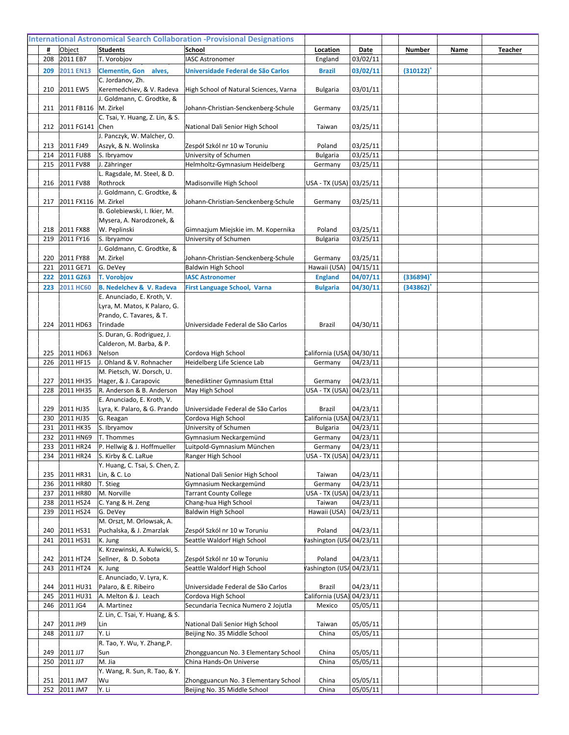| 208        | 2011 EB7               | T. Vorobjov                                        | <b>IASC Astronomer</b>                                 | England                            | 03/02/11             |              |  |
|------------|------------------------|----------------------------------------------------|--------------------------------------------------------|------------------------------------|----------------------|--------------|--|
| 209        | <b>2011 EN13</b>       | Clementin, Gon alves,<br>C. Jordanov, Zh.          | Universidade Federal de São Carlos                     | <b>Brazil</b>                      | 03/02/11             | $(310122)^+$ |  |
| 210        | 2011 EW5               | Keremedchiev, & V. Radeva                          | High School of Natural Sciences, Varna                 | <b>Bulgaria</b>                    | 03/01/11             |              |  |
|            |                        | J. Goldmann, C. Grodtke, &                         |                                                        |                                    |                      |              |  |
| 211        | 2011 FB116  M. Zirkel  |                                                    | Johann-Christian-Senckenberg-Schule                    | Germany                            | 03/25/11             |              |  |
|            |                        | C. Tsai, Y. Huang, Z. Lin, & S.                    |                                                        |                                    |                      |              |  |
| 212        | 2011 FG141 Chen        | J. Panczyk, W. Malcher, O.                         | National Dali Senior High School                       | Taiwan                             | 03/25/11             |              |  |
| 213        | 2011 FJ49              | Aszyk, & N. Wolinska                               | Zespół Szkól nr 10 w Toruniu                           | Poland                             | 03/25/11             |              |  |
| 214        | 2011 FU88              | S. Ibryamov                                        | University of Schumen                                  | Bulgaria                           | 03/25/11             |              |  |
| 215        | 2011 FV88              | J. Zähringer                                       | Helmholtz-Gymnasium Heidelberg                         | Germany                            | 03/25/11             |              |  |
|            |                        | L. Ragsdale, M. Steel, & D.                        |                                                        |                                    |                      |              |  |
| 216        | 2011 FV88              | Rothrock                                           | Madisonville High School                               | USA - TX (USA) 03/25/11            |                      |              |  |
| 217        | 2011 FX116  M. Zirkel  | J. Goldmann, C. Grodtke, &                         | Johann-Christian-Senckenberg-Schule                    | Germany                            | 03/25/11             |              |  |
|            |                        | B. Golebiewski, I. Ikier, M.                       |                                                        |                                    |                      |              |  |
|            |                        | Mysera, A. Narodzonek, &                           |                                                        |                                    |                      |              |  |
| 218        | 2011 FX88              | W. Peplinski                                       | Gimnazjum Miejskie im. M. Kopernika                    | Poland                             | 03/25/11             |              |  |
| 219        | 2011 FY16              | S. Ibryamov                                        | University of Schumen                                  | <b>Bulgaria</b>                    | 03/25/11             |              |  |
| 220        | 2011 FY88              | J. Goldmann, C. Grodtke, &<br>M. Zirkel            | Johann-Christian-Senckenberg-Schule                    | Germany                            | 03/25/11             |              |  |
| 221        | 2011 GE71              | G. DeVey                                           | <b>Baldwin High School</b>                             | Hawaii (USA)                       | 04/15/11             |              |  |
| 222        | 2011 GZ63              | <b>T. Vorobjov</b>                                 | <b>IASC Astronomer</b>                                 | <b>England</b>                     | 04/07/11             | (336894)     |  |
| 223        | <b>2011 HC60</b>       | <b>B. Nedelchev &amp; V. Radeva</b>                | <b>First Language School, Varna</b>                    | <b>Bulgaria</b>                    | 04/30/11             | (343862)     |  |
|            |                        | E. Anunciado, E. Kroth, V.                         |                                                        |                                    |                      |              |  |
|            |                        | Lyra, M. Matos, K Palaro, G.                       |                                                        |                                    |                      |              |  |
| 224        | 2011 HD63              | Prando, C. Tavares, & T.<br>Trindade               | Universidade Federal de São Carlos                     | Brazil                             | 04/30/11             |              |  |
|            |                        | S. Duran, G. Rodriguez, J.                         |                                                        |                                    |                      |              |  |
|            |                        | Calderon, M. Barba, & P.                           |                                                        |                                    |                      |              |  |
| 225        | 2011 HD63              | Nelson                                             | Cordova High School                                    | California (USA) 04/30/11          |                      |              |  |
| 226        | 2011 HF15              | J. Ohland & V. Rohnacher                           | Heidelberg Life Science Lab                            | Germany                            | 04/23/11             |              |  |
|            |                        | M. Pietsch, W. Dorsch, U.                          |                                                        |                                    |                      |              |  |
| 227<br>228 | 2011 HH35<br>2011 HH35 | Hager, & J. Carapovic<br>R. Anderson & B. Anderson | Benediktiner Gymnasium Ettal<br>May High School        | Germany<br>USA - TX (USA) 04/23/11 | 04/23/11             |              |  |
|            |                        | E. Anunciado, E. Kroth, V.                         |                                                        |                                    |                      |              |  |
| 229        | 2011 HJ35              | Lyra, K. Palaro, & G. Prando                       | Universidade Federal de São Carlos                     | Brazil                             | 04/23/11             |              |  |
| 230        | 2011 HJ35              | G. Reagan                                          | Cordova High School                                    | California (USA) 04/23/11          |                      |              |  |
| 231        | 2011 HK35              | S. Ibryamov                                        | University of Schumen<br>Gymnasium Neckargemünd        | <b>Bulgaria</b>                    | 04/23/11             |              |  |
| 232<br>233 | 2011 HN69<br>2011 HR24 | T. Thommes<br>P. Hellwig & J. Hoffmueller          | Luitpold-Gymnasium München                             | Germany<br>Germany                 | 04/23/11<br>04/23/11 |              |  |
| 234        | 2011 HR24              | S. Kirby & C. LaRue                                | Ranger High School                                     | USA - TX (USA) 04/23/11            |                      |              |  |
|            |                        | Y. Huang, C. Tsai, S. Chen, Z.                     |                                                        |                                    |                      |              |  |
| 235        | 2011 HR31              | Lin, & C. Lo                                       | National Dali Senior High School                       | Taiwan                             | 04/23/11             |              |  |
| 236        | 2011 HR80              | T. Stieg                                           | Gymnasium Neckargemünd                                 | Germany                            | 04/23/11             |              |  |
| 237<br>238 | 2011 HR80<br>2011 HS24 | M. Norville<br>C. Yang & H. Zeng                   | <b>Tarrant County College</b><br>Chang-hua High School | USA - TX (USA)<br>Taiwan           | 04/23/11<br>04/23/11 |              |  |
| 239        | 2011 HS24              | G. DeVey                                           | Baldwin High School                                    | Hawaii (USA)                       | 04/23/11             |              |  |
|            |                        | M. Orszt, M. Orlowsak, A.                          |                                                        |                                    |                      |              |  |
| 240        | 2011 HS31              | Puchalska, & J. Zmarzlak                           | Zespół Szkól nr 10 w Toruniu                           | Poland                             | 04/23/11             |              |  |
| 241        | 2011 HS31              | K. Jung<br>K. Krzewinski, A. Kulwicki, S.          | Seattle Waldorf High School                            | Vashington (USA 04/23/11           |                      |              |  |
| 242        | 2011 HT24              | Sellner, & D. Sobota                               | Zespół Szkól nr 10 w Toruniu                           | Poland                             | 04/23/11             |              |  |
| 243        | 2011 HT24              | K. Jung                                            | Seattle Waldorf High School                            | Vashington (USA 04/23/11           |                      |              |  |
|            |                        | E. Anunciado, V. Lyra, K.                          |                                                        |                                    |                      |              |  |
| 244        | 2011 HU31              | Palaro, & E. Ribeiro                               | Universidade Federal de São Carlos                     | Brazil                             | 04/23/11             |              |  |
| 245        | 2011 HU31              | A. Melton & J. Leach                               | Cordova High School                                    | California (USA)                   | 04/23/11             |              |  |
| 246        | 2011 JG4               | A. Martinez<br>Z. Lin, C. Tsai, Y. Huang, & S.     | Secundaria Tecnica Numero 2 Jojutla                    | Mexico                             | 05/05/11             |              |  |
| 247        | 2011 JH9               | Lin                                                | National Dali Senior High School                       | Taiwan                             | 05/05/11             |              |  |
| 248        | 2011 JJ7               | Y. Li                                              | Beijing No. 35 Middle School                           | China                              | 05/05/11             |              |  |
|            |                        | R. Tao, Y. Wu, Y. Zhang, P.                        |                                                        |                                    |                      |              |  |
| 249        | 2011 JJ7               | Sun                                                | Zhongguancun No. 3 Elementary School                   | China                              | 05/05/11             |              |  |
| 250        | 2011 JJ7               | M. Jia<br>Y. Wang, R. Sun, R. Tao, & Y.            | China Hands-On Universe                                | China                              | 05/05/11             |              |  |
| 251        | 2011 JM7               | Wu                                                 | Zhongguancun No. 3 Elementary School                   | China                              | 05/05/11             |              |  |
|            | 252 2011 JM7           | Y. Li                                              | Beijing No. 35 Middle School                           | China                              | 05/05/11             |              |  |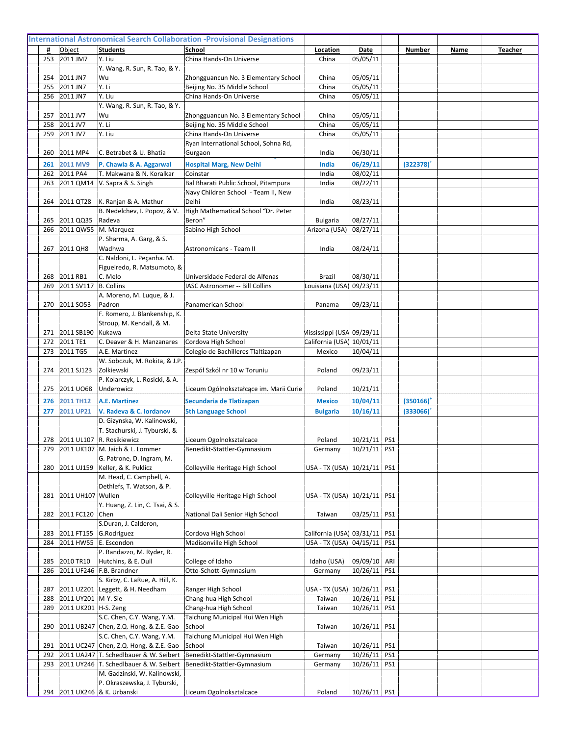| 253        | 2011 JM7               | Y. Liu                                                               | China Hands-On Universe                         | China                         | 05/05/11                     |     |                |  |
|------------|------------------------|----------------------------------------------------------------------|-------------------------------------------------|-------------------------------|------------------------------|-----|----------------|--|
| 254        | 2011 JN7               | Y. Wang, R. Sun, R. Tao, & Y.<br>lWu                                 | Zhongguancun No. 3 Elementary School            | China                         | 05/05/11                     |     |                |  |
| 255        | 2011 JN7               | lY. Li                                                               | Beijing No. 35 Middle School                    | China                         | 05/05/11                     |     |                |  |
| 256        | 2011 JN7               | Y. Liu                                                               | China Hands-On Universe                         | China                         | 05/05/11                     |     |                |  |
|            |                        | Y. Wang, R. Sun, R. Tao, & Y.                                        |                                                 |                               |                              |     |                |  |
| 257        | 2011 JV7               | Wu                                                                   | Zhongguancun No. 3 Elementary School            | China                         | 05/05/11                     |     |                |  |
| 258        | 2011 JV7               | Y. Li                                                                | Beijing No. 35 Middle School                    | China                         | 05/05/11                     |     |                |  |
| 259        | 2011 JV7               | Y. Liu                                                               | China Hands-On Universe                         | China                         | 05/05/11                     |     |                |  |
| 260        | 2011 MP4               | C. Betrabet & U. Bhatia                                              | Ryan International School, Sohna Rd,<br>Gurgaon | India                         | 06/30/11                     |     |                |  |
|            |                        |                                                                      |                                                 |                               |                              |     |                |  |
| 261<br>262 | 2011 MV9<br>2011 PA4   | P. Chawla & A. Aggarwal<br>T. Makwana & N. Koralkar                  | <b>Hospital Marg, New Delhi</b><br>Coinstar     | India<br>India                | 06/29/11<br>08/02/11         |     | $(322378)^+$   |  |
| 263        |                        | 2011 QM14   V. Sapra & S. Singh                                      | Bal Bharati Public School, Pitampura            | India                         | 08/22/11                     |     |                |  |
|            |                        |                                                                      | Navy Children School - Team II, New             |                               |                              |     |                |  |
| 264        |                        | 2011 QT28   K. Ranjan & A. Mathur                                    | Delhi                                           | India                         | 08/23/11                     |     |                |  |
|            |                        | B. Nedelchev, I. Popov, & V.                                         | High Mathematical School "Dr. Peter             |                               |                              |     |                |  |
| 265        | 2011 QQ35              | Radeva                                                               | Beron"                                          | <b>Bulgaria</b>               | 08/27/11                     |     |                |  |
| 266        | 2011 QW55  M. Marquez  |                                                                      | Sabino High School                              | Arizona (USA)                 | 08/27/11                     |     |                |  |
| 267        | 2011 QH8               | P. Sharma, A. Garg, & S.<br>Wadhwa                                   | Astronomicans - Team II                         | India                         |                              |     |                |  |
|            |                        | C. Naldoni, L. Peçanha. M.                                           |                                                 |                               | 08/24/11                     |     |                |  |
|            |                        | Figueiredo, R. Matsumoto, &                                          |                                                 |                               |                              |     |                |  |
| 268        | 2011 RB1               | C. Melo                                                              | Universidade Federal de Alfenas                 | Brazil                        | 08/30/11                     |     |                |  |
| 269        | 2011 SV117 B. Collins  |                                                                      | IASC Astronomer -- Bill Collins                 | Louisiana (USA) 09/23/11      |                              |     |                |  |
|            |                        | A. Moreno, M. Lugue, & J.                                            |                                                 |                               |                              |     |                |  |
| 270        | 2011 SO53              | Padron                                                               | Panamerican School                              | Panama                        | 09/23/11                     |     |                |  |
|            |                        | F. Romero, J. Blankenship, K.                                        |                                                 |                               |                              |     |                |  |
| 271        | 2011 SB190             | Stroup, M. Kendall, & M.<br>Kukawa                                   | Delta State University                          | Mississippi (USA 09/29/11     |                              |     |                |  |
| 272        | 2011 TE1               | C. Deaver & H. Manzanares                                            | Cordova High School                             | California (USA) 10/01/11     |                              |     |                |  |
| 273        | 2011 TG5               | A.E. Martinez                                                        | Colegio de Bachilleres Tlaltizapan              | Mexico                        | 10/04/11                     |     |                |  |
|            |                        | W. Sobczuk, M. Rokita, & J.P.                                        |                                                 |                               |                              |     |                |  |
| 274        | 2011 SJ123             | Zolkiewski                                                           | Zespół Szkól nr 10 w Toruniu                    | Poland                        | 09/23/11                     |     |                |  |
|            |                        | P. Kolarczyk, L. Rosicki, & A.                                       |                                                 |                               |                              |     |                |  |
| 275        | 2011 UO68              | Underowicz                                                           | Liceum Ogólnokształcące im. Marii Curie         | Poland                        | 10/21/11                     |     |                |  |
| 276        | 2011 TH12              | <b>A.E. Martinez</b>                                                 | Secundaria de Tlatizapan                        | <b>Mexico</b>                 | 10/04/11                     |     | $(350166)^{4}$ |  |
| 277        | 2011 UP21              | V. Radeva & C. Iordanov                                              | <b>5th Language School</b>                      | <b>Bulgaria</b>               | 10/16/11                     |     | (333066)       |  |
|            |                        | D. Gizynska, W. Kalinowski,<br>T. Stachurski, J. Tyburski, &         |                                                 |                               |                              |     |                |  |
|            |                        | 278 2011 UL107 R. Rosikiewicz                                        | Liceum Ogolnoksztalcace                         | Poland                        | 10/21/11 PS1                 |     |                |  |
|            |                        | 279 2011 UK107 M. Jaich & L. Lommer                                  | Benedikt-Stattler-Gymnasium                     | Germany                       | 10/21/11                     | PS1 |                |  |
|            |                        | G. Patrone, D. Ingram, M.                                            |                                                 |                               |                              |     |                |  |
| 280        | 2011 UJ159             | Keller, & K. Puklicz                                                 | Colleyville Heritage High School                | USA - TX (USA) 10/21/11   PS1 |                              |     |                |  |
|            |                        | M. Head, C. Campbell, A.                                             |                                                 |                               |                              |     |                |  |
|            |                        | Dethlefs, T. Watson, & P.                                            |                                                 |                               |                              |     |                |  |
| 281        | 2011 UH107 Wullen      | Y. Huang, Z. Lin, C. Tsai, & S.                                      | Colleyville Heritage High School                | USA - TX (USA) 10/21/11   PS1 |                              |     |                |  |
| 282        | 2011 FC120 Chen        |                                                                      | National Dali Senior High School                | Taiwan                        | 03/25/11                     | PS1 |                |  |
|            |                        | S.Duran, J. Calderon,                                                |                                                 |                               |                              |     |                |  |
| 283        | 2011 FT155 G.Rodriguez |                                                                      | Cordova High School                             | California (USA) 03/31/11     |                              | PS1 |                |  |
| 284        | 2011 HW55 E. Escondon  |                                                                      | Madisonville High School                        | USA - TX (USA) 04/15/11       |                              | PS1 |                |  |
|            |                        | P. Randazzo, M. Ryder, R.                                            |                                                 |                               |                              |     |                |  |
| 285<br>286 | 2010 TR10              | Hutchins, & E. Dull<br>2011 UF246   F.B. Brandner                    | College of Idaho<br>Otto-Schott-Gymnasium       | Idaho (USA)<br>Germany        | 09/09/10 ARI<br>10/26/11 PS1 |     |                |  |
|            |                        | S. Kirby, C. LaRue, A. Hill, K.                                      |                                                 |                               |                              |     |                |  |
| 287        |                        | 2011 UZ201 Leggett, & H. Needham                                     | Ranger High School                              | USA - TX (USA) 10/26/11       |                              | PS1 |                |  |
| 288        | 2011 UY201   M-Y. Sie  |                                                                      | Chang-hua High School                           | Taiwan                        | 10/26/11 PS1                 |     |                |  |
| 289        | 2011 UK201  H-S. Zeng  |                                                                      | Chang-hua High School                           | Taiwan                        | 10/26/11                     | PS1 |                |  |
|            |                        | S.C. Chen, C.Y. Wang, Y.M.                                           | Taichung Municipal Hui Wen High                 |                               |                              |     |                |  |
| 290        |                        | 2011 UB247 Chen, Z.Q. Hong, & Z.E. Gao                               | School                                          | Taiwan                        | 10/26/11                     | PS1 |                |  |
| 291        |                        | S.C. Chen, C.Y. Wang, Y.M.<br>2011 UC247 Chen, Z.Q. Hong, & Z.E. Gao | Taichung Municipal Hui Wen High<br>School       | Taiwan                        | 10/26/11 PS1                 |     |                |  |
| 292        |                        | 2011 UA247 T. Schedlbauer & W. Seibert                               | Benedikt-Stattler-Gymnasium                     | Germany                       | 10/26/11 PS1                 |     |                |  |
| 293        |                        | 2011 UY246 T. Schedlbauer & W. Seibert                               | Benedikt-Stattler-Gymnasium                     | Germany                       | $10/26/11$ PS1               |     |                |  |
|            |                        | M. Gadzinski, W. Kalinowski,                                         |                                                 |                               |                              |     |                |  |
|            |                        | P. Okraszewska, J. Tyburski,                                         |                                                 |                               |                              |     |                |  |
|            |                        | 294 2011 UX246 & K. Urbanski                                         | Liceum Ogolnoksztalcace                         | Poland                        | 10/26/11 PS1                 |     |                |  |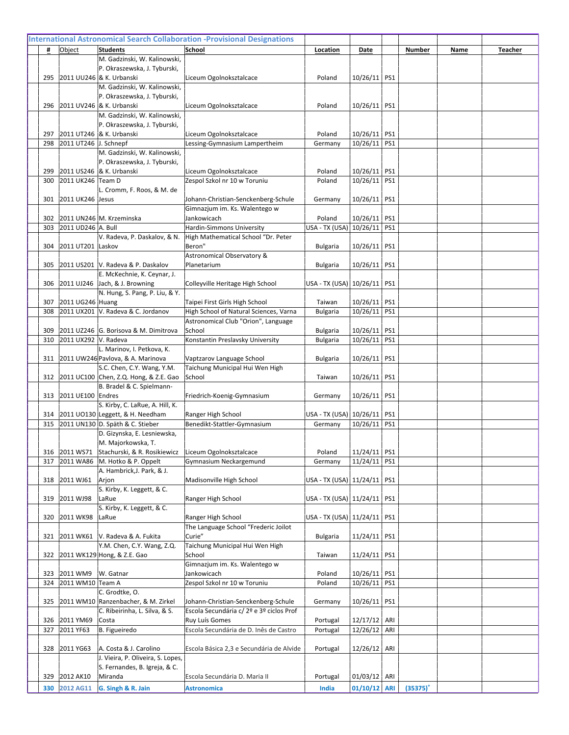|     |                       | M. Gadzinski, W. Kalinowski,                                 |                                               |                               |                |     |             |  |
|-----|-----------------------|--------------------------------------------------------------|-----------------------------------------------|-------------------------------|----------------|-----|-------------|--|
|     |                       | P. Okraszewska, J. Tyburski,                                 |                                               |                               |                |     |             |  |
| 295 |                       | 2011 UU246 & K. Urbanski                                     | Liceum Ogolnoksztalcace                       | Poland                        | 10/26/11   PS1 |     |             |  |
|     |                       | M. Gadzinski, W. Kalinowski,<br>P. Okraszewska, J. Tyburski, |                                               |                               |                |     |             |  |
| 296 |                       | 2011 UV246 & K. Urbanski                                     | Liceum Ogolnoksztalcace                       | Poland                        | 10/26/11 PS1   |     |             |  |
|     |                       | M. Gadzinski, W. Kalinowski,                                 |                                               |                               |                |     |             |  |
|     |                       | P. Okraszewska, J. Tyburski,                                 |                                               |                               |                |     |             |  |
| 297 |                       | 2011 UT246 & K. Urbanski                                     | Liceum Ogolnoksztalcace                       | Poland                        | 10/26/11 PS1   |     |             |  |
| 298 | 2011 UT246 J. Schnepf |                                                              | Lessing-Gymnasium Lampertheim                 | Germany                       | 10/26/11 PS1   |     |             |  |
|     |                       | M. Gadzinski, W. Kalinowski,                                 |                                               |                               |                |     |             |  |
|     |                       | P. Okraszewska, J. Tyburski,                                 |                                               |                               |                |     |             |  |
| 299 |                       | 2011 US246 & K. Urbanski                                     | Liceum Ogolnoksztalcace                       | Poland                        | 10/26/11 PS1   |     |             |  |
| 300 | 2011 UK246 Team D     |                                                              | Zespol Szkol nr 10 w Toruniu                  | Poland                        | 10/26/11 PS1   |     |             |  |
|     |                       | L. Cromm, F. Roos, & M. de                                   |                                               |                               |                |     |             |  |
| 301 | 2011 UK246 Jesus      |                                                              | Johann-Christian-Senckenberg-Schule           | Germany                       | 10/26/11 PS1   |     |             |  |
|     |                       |                                                              | Gimnazjum im. Ks. Walentego w                 |                               |                |     |             |  |
| 302 |                       | 2011 UN246 M. Krzeminska                                     | Jankowicach                                   | Poland                        | 10/26/11 PS1   |     |             |  |
| 303 | 2011 UD246 A. Bull    |                                                              | Hardin-Simmons University                     | USA - TX (USA) 10/26/11 PS1   |                |     |             |  |
| 304 | 2011 UT201 Laskov     | V. Radeva, P. Daskalov, & N.                                 | High Mathematical School "Dr. Peter<br>Beron" | <b>Bulgaria</b>               | 10/26/11 PS1   |     |             |  |
|     |                       |                                                              | Astronomical Observatory &                    |                               |                |     |             |  |
| 305 |                       | 2011 US201  V. Radeva & P. Daskalov                          | Planetarium                                   | <b>Bulgaria</b>               | 10/26/11   PS1 |     |             |  |
|     |                       | E. McKechnie, K. Ceynar, J.                                  |                                               |                               |                |     |             |  |
| 306 |                       | 2011 UJ246 Jach, & J. Browning                               | Colleyville Heritage High School              | USA - TX (USA) 10/26/11   PS1 |                |     |             |  |
|     |                       | N. Hung, S. Pang, P. Liu, & Y.                               |                                               |                               |                |     |             |  |
| 307 | 2011 UG246 Huang      |                                                              | Taipei First Girls High School                | Taiwan                        | 10/26/11 PS1   |     |             |  |
| 308 |                       | 2011 UX201 V. Radeva & C. Jordanov                           | High School of Natural Sciences, Varna        | <b>Bulgaria</b>               | 10/26/11 PS1   |     |             |  |
|     |                       |                                                              | Astronomical Club "Orion", Language           |                               |                |     |             |  |
| 309 |                       | 2011 UZ246 G. Borisova & M. Dimitrova                        | School                                        | <b>Bulgaria</b>               | 10/26/11 PS1   |     |             |  |
| 310 | 2011 UX292 V. Radeva  |                                                              | Konstantin Preslavsky University              | <b>Bulgaria</b>               | 10/26/11 PS1   |     |             |  |
|     |                       | L. Marinov, I. Petkova, K.                                   |                                               |                               |                |     |             |  |
| 311 |                       | 2011 UW246 Pavlova, & A. Marinova                            | Vaptzarov Language School                     | <b>Bulgaria</b>               | 10/26/11   PS1 |     |             |  |
|     |                       | S.C. Chen, C.Y. Wang, Y.M.                                   | Taichung Municipal Hui Wen High               |                               |                |     |             |  |
|     |                       | 312 2011 UC100 Chen, Z.Q. Hong, & Z.E. Gao                   | School                                        | Taiwan                        | 10/26/11 PS1   |     |             |  |
| 313 | 2011 UE100 Endres     | B. Bradel & C. Spielmann-                                    | Friedrich-Koenig-Gymnasium                    | Germany                       | 10/26/11   PS1 |     |             |  |
|     |                       | S. Kirby, C. LaRue, A. Hill, K.                              |                                               |                               |                |     |             |  |
| 314 |                       | 2011 UO130 Leggett, & H. Needham                             | Ranger High School                            | USA - TX (USA) 10/26/11   PS1 |                |     |             |  |
| 315 |                       | 2011 UN130 D. Späth & C. Stieber                             | Benedikt-Stattler-Gymnasium                   | Germany                       | 10/26/11       | PS1 |             |  |
|     |                       | D. Gizynska, E. Lesniewska,                                  |                                               |                               |                |     |             |  |
|     |                       | M. Majorkowska, T.                                           |                                               |                               |                |     |             |  |
|     |                       | 316 2011 WS71 Stachurski, & R. Rosikiewicz                   | Liceum Ogolnoksztalcace                       | Poland                        | $11/24/11$ PS1 |     |             |  |
| 317 |                       | 2011 WA86  M. Hotko & P. Oppelt                              | Gymnasium Neckargemund                        | Germany                       | $11/24/11$ PS1 |     |             |  |
|     |                       | A. Hambrick, J. Park, & J.                                   |                                               |                               |                |     |             |  |
| 318 | 2011 WJ61             | Arjon                                                        | Madisonville High School                      | USA - TX (USA) 11/24/11   PS1 |                |     |             |  |
|     |                       | S. Kirby, K. Leggett, & C.                                   |                                               |                               |                |     |             |  |
| 319 | 2011 WJ98             | LaRue<br>S. Kirby, K. Leggett, & C.                          | Ranger High School                            | USA - TX (USA) 11/24/11   PS1 |                |     |             |  |
| 320 | 2011 WK98             | LaRue                                                        | Ranger High School                            | USA - TX (USA) 11/24/11   PS1 |                |     |             |  |
|     |                       |                                                              | The Language School "Frederic Joilot          |                               |                |     |             |  |
| 321 |                       | 2011 WK61   V. Radeva & A. Fukita                            | Curie"                                        | Bulgaria                      | 11/24/11 PS1   |     |             |  |
|     |                       | Y.M. Chen, C.Y. Wang, Z.Q.                                   | Taichung Municipal Hui Wen High               |                               |                |     |             |  |
| 322 |                       | 2011 WK129 Hong, & Z.E. Gao                                  | School                                        | Taiwan                        | 11/24/11 PS1   |     |             |  |
|     |                       |                                                              | Gimnazjum im. Ks. Walentego w                 |                               |                |     |             |  |
| 323 | 2011 WM9              | W. Gatnar                                                    | Jankowicach                                   | Poland                        | 10/26/11 PS1   |     |             |  |
| 324 | 2011 WM10 Team A      |                                                              | Zespol Szkol nr 10 w Toruniu                  | Poland                        | 10/26/11 PS1   |     |             |  |
|     |                       | C. Grodtke, O.                                               |                                               |                               |                |     |             |  |
| 325 |                       | 2011 WM10 Ranzenbacher, & M. Zirkel                          | Johann-Christian-Senckenberg-Schule           | Germany                       | 10/26/11 PS1   |     |             |  |
|     |                       | C. Ribeirinha, L. Silva, & S.                                | Escola Secundária c/ 2º e 3º ciclos Prof      |                               |                |     |             |  |
| 326 | 2011 YM69             | Costa                                                        | Ruy Luís Gomes                                | Portugal                      | 12/17/12 ARI   |     |             |  |
| 327 | 2011 YF63             | B. Figueiredo                                                | Escola Secundária de D. Inês de Castro        | Portugal                      | 12/26/12 ARI   |     |             |  |
|     |                       |                                                              |                                               |                               |                |     |             |  |
| 328 | 2011 YG63             | A. Costa & J. Carolino<br>J. Vieira, P. Oliveira, S. Lopes,  | Escola Básica 2,3 e Secundária de Alvide      | Portugal                      | 12/26/12   ARI |     |             |  |
|     |                       | S. Fernandes, B. Igreja, & C.                                |                                               |                               |                |     |             |  |
| 329 | 2012 AK10             | Miranda                                                      | Escola Secundária D. Maria II                 | Portugal                      | $01/03/12$ ARI |     |             |  |
| 330 | 2012 AG11             | G. Singh & R. Jain                                           | <b>Astronomica</b>                            | India                         | $01/10/12$ ARI |     | $(35375)^+$ |  |
|     |                       |                                                              |                                               |                               |                |     |             |  |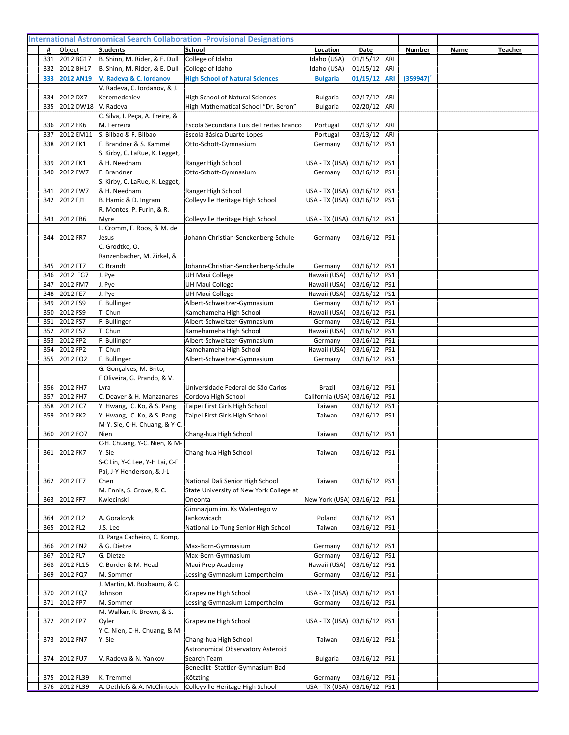| 331        | 2012 BG17                      | B. Shinn, M. Rider, & E. Dull                            | College of Idaho                                       | Idaho (USA)                                                    | $01/15/12$ ARI               |            |          |  |
|------------|--------------------------------|----------------------------------------------------------|--------------------------------------------------------|----------------------------------------------------------------|------------------------------|------------|----------|--|
| 332        | 2012 BH17                      | B. Shinn, M. Rider, & E. Dull                            | College of Idaho                                       | Idaho (USA)                                                    | $01/15/12$ ARI               |            |          |  |
| 333        | <b>2012 AN19</b>               | V. Radeva & C. Iordanov                                  | <b>High School of Natural Sciences</b>                 | <b>Bulgaria</b>                                                | 01/15/12                     | <b>ARI</b> | (359947) |  |
|            |                                | V. Radeva, C. Iordanov, & J.                             |                                                        |                                                                |                              |            |          |  |
| 334        | 2012 DX7                       | Keremedchiev                                             | High School of Natural Sciences                        | <b>Bulgaria</b>                                                | 02/17/12 ARI                 |            |          |  |
| 335        | 2012 DW18                      | V. Radeva                                                | High Mathematical School "Dr. Beron"                   | <b>Bulgaria</b>                                                | 02/20/12 ARI                 |            |          |  |
|            |                                | C. Silva, I. Peça, A. Freire, &                          |                                                        |                                                                |                              |            |          |  |
| 336        | 2012 EK6                       | M. Ferreira                                              | Escola Secundária Luís de Freitas Branco               | Portugal                                                       | $03/13/12$ ARI               |            |          |  |
| 337        | 2012 EM11                      | S. Bilbao & F. Bilbao                                    | Escola Básica Duarte Lopes                             | Portugal                                                       | 03/13/12 ARI                 |            |          |  |
| 338        | 2012 FK1                       | F. Brandner & S. Kammel                                  | Otto-Schott-Gymnasium                                  | Germany                                                        | 03/16/12 PS1                 |            |          |  |
|            |                                | S. Kirby, C. LaRue, K. Legget,                           |                                                        |                                                                |                              |            |          |  |
| 339        | 2012 FK1                       | & H. Needham                                             | Ranger High School                                     | USA - TX (USA) 03/16/12   PS1                                  |                              |            |          |  |
| 340        | 2012 FW7                       | F. Brandner                                              | Otto-Schott-Gymnasium                                  | Germany                                                        | 03/16/12 PS1                 |            |          |  |
|            |                                | S. Kirby, C. LaRue, K. Legget,                           |                                                        |                                                                |                              |            |          |  |
| 341<br>342 | 2012 FW7<br>2012 FJ1           | & H. Needham<br>B. Hamic & D. Ingram                     | Ranger High School<br>Colleyville Heritage High School | USA - TX (USA) 03/16/12   PS1<br>USA - TX (USA) 03/16/12   PS1 |                              |            |          |  |
|            |                                | R. Montes, P. Furin, & R.                                |                                                        |                                                                |                              |            |          |  |
| 343        | 2012 FB6                       | Myre                                                     | Colleyville Heritage High School                       | USA - TX (USA) 03/16/12   PS1                                  |                              |            |          |  |
|            |                                | L. Cromm, F. Roos, & M. de                               |                                                        |                                                                |                              |            |          |  |
| 344        | 2012 FR7                       | Jesus                                                    | Johann-Christian-Senckenberg-Schule                    | Germany                                                        | 03/16/12 PS1                 |            |          |  |
|            |                                | C. Grodtke, O.                                           |                                                        |                                                                |                              |            |          |  |
|            |                                | Ranzenbacher, M. Zirkel, &                               |                                                        |                                                                |                              |            |          |  |
| 345        | 2012 FT7                       | C. Brandt                                                | Johann-Christian-Senckenberg-Schule                    | Germany                                                        | 03/16/12 PS1                 |            |          |  |
| 346        | 2012 FG7                       | J. Pye                                                   | <b>UH Maui College</b>                                 | Hawaii (USA)                                                   | 03/16/12 PS1                 |            |          |  |
| 347        | 2012 FM7                       | J. Pye                                                   | <b>UH Maui College</b>                                 | Hawaii (USA)                                                   | 03/16/12 PS1                 |            |          |  |
| 348        | 2012 FE7                       | J. Pye                                                   | <b>UH Maui College</b>                                 | Hawaii (USA)                                                   | 03/16/12 PS1                 |            |          |  |
| 349        | 2012 FS9                       | F. Bullinger                                             | Albert-Schweitzer-Gymnasium                            | Germany                                                        | 03/16/12 PS1                 |            |          |  |
| 350        | 2012 FS9                       | T. Chun                                                  | Kamehameha High School                                 | Hawaii (USA)                                                   | 03/16/12 PS1                 |            |          |  |
| 351        | 2012 FS7                       | F. Bullinger                                             | Albert-Schweitzer-Gymnasium                            | Germany                                                        | 03/16/12 PS1                 |            |          |  |
| 352        | 2012 FS7                       | T. Chun                                                  | Kamehameha High School                                 | Hawaii (USA)                                                   | 03/16/12 PS1                 |            |          |  |
| 353        | 2012 FP2                       | F. Bullinger                                             | Albert-Schweitzer-Gymnasium                            | Germany                                                        | 03/16/12 PS1                 |            |          |  |
| 354        | 2012 FP2                       | T. Chun                                                  | Kamehameha High School                                 | Hawaii (USA)                                                   | 03/16/12                     | PS1        |          |  |
| 355        | 2012 FO2                       | F. Bullinger                                             | Albert-Schweitzer-Gymnasium                            | Germany                                                        | 03/16/12                     | PS1        |          |  |
|            |                                |                                                          |                                                        |                                                                |                              |            |          |  |
|            |                                | G. Gonçalves, M. Brito,                                  |                                                        |                                                                |                              |            |          |  |
|            |                                | F.Oliveira, G. Prando, & V.                              |                                                        |                                                                |                              |            |          |  |
| 356        | 2012 FH7                       | lLyra                                                    | Universidade Federal de São Carlos                     | Brazil                                                         | 03/16/12 PS1                 |            |          |  |
| 357        | 2012 FH7                       | C. Deaver & H. Manzanares                                | Cordova High School                                    | California (USA)                                               | 03/16/12 PS1                 |            |          |  |
| 358<br>359 | 2012 FC7<br>2012 FK2           | Y. Hwang, C. Ko, & S. Pang<br>Y. Hwang, C. Ko, & S. Pang | Taipei First Girls High School                         | Taiwan<br>Taiwan                                               | 03/16/12 PS1<br>03/16/12     | PS1        |          |  |
|            |                                | M-Y. Sie, C-H. Chuang, & Y-C.                            | Taipei First Girls High School                         |                                                                |                              |            |          |  |
| 360        | 2012 EO7                       | Nien                                                     | Chang-hua High School                                  | Taiwan                                                         | 03/16/12   PS1               |            |          |  |
|            |                                | C-H. Chuang, Y-C. Nien, & M-                             |                                                        |                                                                |                              |            |          |  |
|            | 361 2012 FK7                   | Y. Sie                                                   | Chang-hua High School                                  | Taiwan                                                         | 03/16/12 PS1                 |            |          |  |
|            |                                | S-C Lin, Y-C Lee, Y-H Lai, C-F                           |                                                        |                                                                |                              |            |          |  |
|            |                                | Pai, J-Y Henderson, & J-L                                |                                                        |                                                                |                              |            |          |  |
|            | 362 2012 FF7                   | Chen                                                     | National Dali Senior High School                       | Taiwan                                                         | 03/16/12 PS1                 |            |          |  |
|            |                                | M. Ennis, S. Grove, & C.                                 | State University of New York College at                |                                                                |                              |            |          |  |
| 363        | 2012 FF7                       | Kwiecinski                                               | Oneonta                                                | New York (USA) 03/16/12   PS1                                  |                              |            |          |  |
|            |                                |                                                          | Gimnazjum im. Ks Walentego w                           |                                                                |                              |            |          |  |
| 364        | 2012 FL2                       | A. Goralczyk                                             | Jankowicach                                            | Poland                                                         | 03/16/12 PS1                 |            |          |  |
| 365        | 2012 FL2                       | J.S. Lee                                                 | National Lo-Tung Senior High School                    | Taiwan                                                         | 03/16/12 PS1                 |            |          |  |
|            |                                | D. Parga Cacheiro, C. Komp,                              |                                                        |                                                                |                              |            |          |  |
| 366<br>367 | 2012 FN2                       | & G. Dietze<br>G. Dietze                                 | Max-Born-Gymnasium<br>Max-Born-Gymnasium               | Germany<br>Germany                                             | 03/16/12 PS1                 |            |          |  |
| 368        | 2012 FL7                       |                                                          |                                                        |                                                                | 03/16/12 PS1<br>03/16/12 PS1 |            |          |  |
| 369        | 2012 FL15<br>2012 FQ7          | C. Border & M. Head<br>M. Sommer                         | Maui Prep Academy<br>Lessing-Gymnasium Lampertheim     | Hawaii (USA)<br>Germany                                        | 03/16/12 PS1                 |            |          |  |
|            |                                | J. Martin, M. Buxbaum, & C.                              |                                                        |                                                                |                              |            |          |  |
| 370        | 2012 FQ7                       | Johnson                                                  | Grapevine High School                                  | USA - TX (USA) 03/16/12   PS1                                  |                              |            |          |  |
| 371        | 2012 FP7                       | M. Sommer                                                | Lessing-Gymnasium Lampertheim                          | Germany                                                        | 03/16/12 PS1                 |            |          |  |
|            |                                | M. Walker, R. Brown, & S.                                |                                                        |                                                                |                              |            |          |  |
|            | 372 2012 FP7                   | Oyler                                                    | Grapevine High School                                  | USA - TX (USA) 03/16/12   PS1                                  |                              |            |          |  |
|            |                                | Y-C. Nien, C-H. Chuang, & M-                             |                                                        |                                                                |                              |            |          |  |
| 373        | 2012 FN7                       | Y. Sie                                                   | Chang-hua High School                                  | Taiwan                                                         | 03/16/12   PS1               |            |          |  |
|            |                                |                                                          | Astronomical Observatory Asteroid                      |                                                                |                              |            |          |  |
| 374        | 2012 FU7                       | V. Radeva & N. Yankov                                    | Search Team                                            | <b>Bulgaria</b>                                                | 03/16/12   PS1               |            |          |  |
|            |                                |                                                          | Benedikt-Stattler-Gymnasium Bad                        |                                                                |                              |            |          |  |
|            | 375 2012 FL39<br>376 2012 FL39 | K. Tremmel<br>A. Dethlefs & A. McClintock                | Kötzting<br>Colleyville Heritage High School           | Germany<br>USA - TX (USA) 03/16/12   PS1                       | 03/16/12 PS1                 |            |          |  |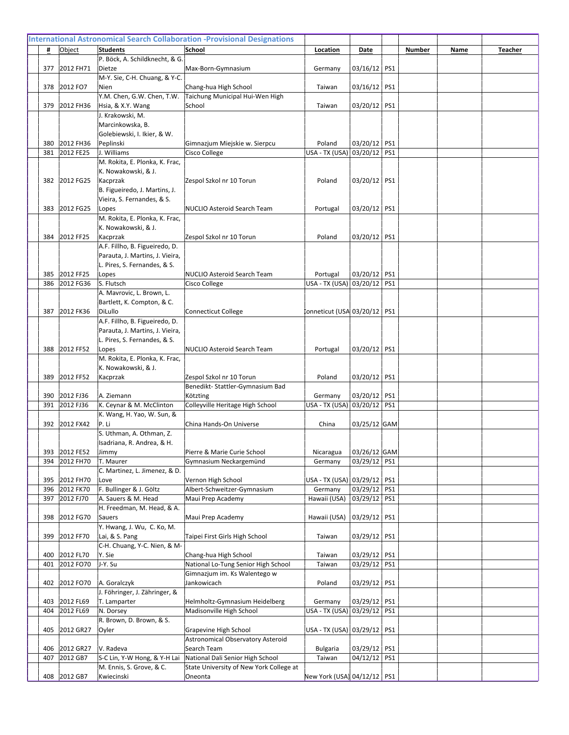|            |                            | P. Böck, A. Schildknecht, & G.                                    |                                                              |                                 |                              |  |  |
|------------|----------------------------|-------------------------------------------------------------------|--------------------------------------------------------------|---------------------------------|------------------------------|--|--|
| 377        | 2012 FH71                  | Dietze<br>M-Y. Sie, C-H. Chuang, & Y-C.                           | Max-Born-Gymnasium                                           | Germany                         | 03/16/12   PS1               |  |  |
| 378        | 2012 FO7                   | Nien                                                              | Chang-hua High School                                        | Taiwan                          | 03/16/12 PS1                 |  |  |
|            |                            | Y.M. Chen, G.W. Chen, T.W.                                        | Taichung Municipal Hui-Wen High                              |                                 |                              |  |  |
| 379        | 2012 FH36                  | Hsia, & X.Y. Wang                                                 | School                                                       | Taiwan                          | 03/20/12   PS1               |  |  |
|            |                            | J. Krakowski, M.                                                  |                                                              |                                 |                              |  |  |
|            |                            | Marcinkowska, B.                                                  |                                                              |                                 |                              |  |  |
|            |                            | Golebiewski, I. Ikier, & W.                                       |                                                              |                                 |                              |  |  |
| 380        | 2012 FH36                  | Peplinski                                                         | Gimnazjum Miejskie w. Sierpcu                                | Poland                          | 03/20/12 PS1                 |  |  |
| 381        | 2012 FE25                  | J. Williams                                                       | Cisco College                                                | USA - TX (USA) 03/20/12   PS1   |                              |  |  |
|            |                            | M. Rokita, E. Plonka, K. Frac,<br>K. Nowakowski, & J.             |                                                              |                                 |                              |  |  |
| 382        | 2012 FG25                  | Kacprzak                                                          | Zespol Szkol nr 10 Torun                                     | Poland                          | 03/20/12 PS1                 |  |  |
|            |                            | B. Figueiredo, J. Martins, J.                                     |                                                              |                                 |                              |  |  |
|            |                            | Vieira, S. Fernandes, & S.                                        |                                                              |                                 |                              |  |  |
|            | 383 2012 FG25              | Lopes                                                             | <b>NUCLIO Asteroid Search Team</b>                           | Portugal                        | 03/20/12 PS1                 |  |  |
|            |                            | M. Rokita, E. Plonka, K. Frac,                                    |                                                              |                                 |                              |  |  |
|            |                            | K. Nowakowski, & J.                                               |                                                              |                                 |                              |  |  |
| 384        | 2012 FF25                  | Kacprzak<br>A.F. Fillho, B. Figueiredo, D.                        | Zespol Szkol nr 10 Torun                                     | Poland                          | 03/20/12 PS1                 |  |  |
|            |                            | Parauta, J. Martins, J. Vieira,                                   |                                                              |                                 |                              |  |  |
|            |                            | L. Pires, S. Fernandes, & S.                                      |                                                              |                                 |                              |  |  |
| 385        | 2012 FF25                  | Lopes                                                             | <b>NUCLIO Asteroid Search Team</b>                           | Portugal                        | 03/20/12   PS1               |  |  |
| 386        | 2012 FG36                  | S. Flutsch                                                        | Cisco College                                                | USA - TX (USA) 03/20/12   PS1   |                              |  |  |
|            |                            | A. Mavrovic, L. Brown, L.                                         |                                                              |                                 |                              |  |  |
|            |                            | Bartlett, K. Compton, & C.                                        |                                                              |                                 |                              |  |  |
| 387        | 2012 FK36                  | DiLullo                                                           | Connecticut College                                          | Conneticut (USA 03/20/12   PS1  |                              |  |  |
|            |                            | A.F. Fillho, B. Figueiredo, D.<br>Parauta, J. Martins, J. Vieira, |                                                              |                                 |                              |  |  |
|            |                            | L. Pires, S. Fernandes, & S.                                      |                                                              |                                 |                              |  |  |
| 388        | 2012 FF52                  | Lopes                                                             | NUCLIO Asteroid Search Team                                  | Portugal                        | 03/20/12 PS1                 |  |  |
|            |                            | M. Rokita, E. Plonka, K. Frac,                                    |                                                              |                                 |                              |  |  |
|            |                            | K. Nowakowski, & J.                                               |                                                              |                                 |                              |  |  |
| 389        | 2012 FF52                  | Kacprzak                                                          | Zespol Szkol nr 10 Torun                                     | Poland                          | 03/20/12 PS1                 |  |  |
|            |                            |                                                                   | Benedikt-Stattler-Gymnasium Bad                              |                                 |                              |  |  |
| 390        | 2012 FJ36<br>391 2012 FJ36 | A. Ziemann<br>K. Ceynar & M. McClinton                            | Kötzting<br>Colleyville Heritage High School                 | Germany                         | 03/20/12 PS1                 |  |  |
|            |                            | K. Wang, H. Yao, W. Sun, &                                        |                                                              | USA - TX (USA)   03/20/12   PS1 |                              |  |  |
| 392        | 2012 FX42                  | P. Li                                                             | China Hands-On Universe                                      | China                           | 03/25/12 GAM                 |  |  |
|            |                            | S. Uthman, A. Othman, Z.                                          |                                                              |                                 |                              |  |  |
|            |                            | Isadriana, R. Andrea, & H.                                        |                                                              |                                 |                              |  |  |
| 393        | 2012 FE52                  | Jimmy                                                             | Pierre & Marie Curie School                                  | Nicaragua                       | 03/26/12 GAM                 |  |  |
| 394        | 2012 FH70                  | T. Maurer                                                         | Gymnasium Neckargemünd                                       | Germany                         | 03/29/12 PS1                 |  |  |
|            | 2012 FH70                  | C. Martinez, L. Jimenez, & D.                                     |                                                              | USA - TX (USA) 03/29/12   PS1   |                              |  |  |
| 395<br>396 | 2012 FK70                  | Love<br>F. Bullinger & J. Göltz                                   | Vernon High School<br>Albert-Schweitzer-Gymnasium            | Germany                         | 03/29/12 PS1                 |  |  |
| 397        | 2012 FJ70                  | A. Sauers & M. Head                                               | Maui Prep Academy                                            | Hawaii (USA)                    | 03/29/12 PS1                 |  |  |
|            |                            | H. Freedman, M. Head, & A.                                        |                                                              |                                 |                              |  |  |
| 398        | 2012 FG70                  | Sauers                                                            | Maui Prep Academy                                            | Hawaii (USA)                    | 03/29/12 PS1                 |  |  |
|            |                            | Y. Hwang, J. Wu, C. Ko, M.                                        |                                                              |                                 |                              |  |  |
| 399        | 2012 FF70                  | Lai, & S. Pang                                                    | Taipei First Girls High School                               | Taiwan                          | 03/29/12 PS1                 |  |  |
|            |                            | C-H. Chuang, Y-C. Nien, & M-                                      |                                                              |                                 |                              |  |  |
| 400<br>401 | 2012 FL70<br>2012 FO70     | Y. Sie<br>J-Y. Su                                                 | Chang-hua High School<br>National Lo-Tung Senior High School | Taiwan<br>Taiwan                | 03/29/12 PS1<br>03/29/12 PS1 |  |  |
|            |                            |                                                                   | Gimnazjum im. Ks Walentego w                                 |                                 |                              |  |  |
| 402        | 2012 FO70                  | A. Goralczyk                                                      | Jankowicach                                                  | Poland                          | 03/29/12 PS1                 |  |  |
|            |                            | J. Föhringer, J. Zähringer, &                                     |                                                              |                                 |                              |  |  |
| 403        | 2012 FL69                  | T. Lamparter                                                      | Helmholtz-Gymnasium Heidelberg                               | Germany                         | 03/29/12 PS1                 |  |  |
| 404        | 2012 FL69                  | N. Dorsey                                                         | Madisonville High School                                     | USA - TX (USA) 03/29/12   PS1   |                              |  |  |
|            |                            | R. Brown, D. Brown, & S.                                          |                                                              |                                 |                              |  |  |
| 405        | 2012 GR27                  | Oyler                                                             | Grapevine High School<br>Astronomical Observatory Asteroid   | USA - TX (USA)   03/29/12   PS1 |                              |  |  |
| 406        | 2012 GR27                  | V. Radeva                                                         | Search Team                                                  | <b>Bulgaria</b>                 | 03/29/12 PS1                 |  |  |
| 407        | 2012 GB7                   | S-C Lin, Y-W Hong, & Y-H Lai                                      | National Dali Senior High School                             | Taiwan                          | 04/12/12 PS1                 |  |  |
|            |                            | M. Ennis, S. Grove, & C.                                          | State University of New York College at                      |                                 |                              |  |  |
|            | 408 2012 GB7               | Kwiecinski                                                        | Oneonta                                                      | New York (USA) 04/12/12   PS1   |                              |  |  |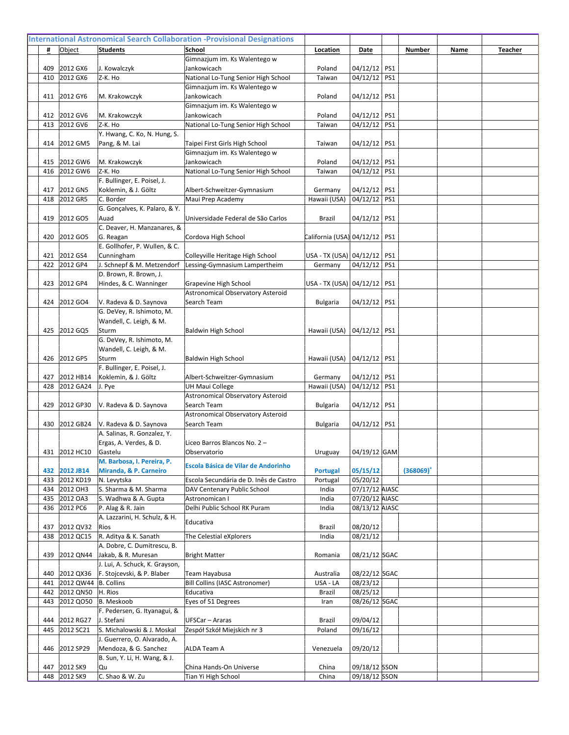|            |                        |                                                       | Gimnazjum im. Ks Walentego w                                          |                                 |                            |     |              |  |
|------------|------------------------|-------------------------------------------------------|-----------------------------------------------------------------------|---------------------------------|----------------------------|-----|--------------|--|
| 409        | 2012 GX6               | J. Kowalczyk                                          | Jankowicach                                                           | Poland                          | 04/12/12 PS1               |     |              |  |
| 410        | 2012 GX6               | lz-K. Ho                                              | National Lo-Tung Senior High School                                   | Taiwan                          | 04/12/12                   | PS1 |              |  |
|            |                        |                                                       | Gimnazjum im. Ks Walentego w                                          |                                 |                            |     |              |  |
| 411        | 2012 GY6               | M. Krakowczyk                                         | Jankowicach                                                           | Poland                          | 04/12/12   PS1             |     |              |  |
|            |                        |                                                       | Gimnazjum im. Ks Walentego w                                          |                                 |                            |     |              |  |
| 412        | 2012 GV6               | M. Krakowczyk                                         | Jankowicach                                                           | Poland                          | 04/12/12 PS1               |     |              |  |
| 413        | 2012 GV6               | Z-K. Ho<br>Y. Hwang, C. Ko, N. Hung, S.               | National Lo-Tung Senior High School                                   | Taiwan                          | 04/12/12 PS1               |     |              |  |
| 414        | 2012 GM5               | Pang, & M. Lai                                        | Taipei First Girls High School                                        | Taiwan                          | 04/12/12                   | PS1 |              |  |
|            |                        |                                                       | Gimnazjum im. Ks Walentego w                                          |                                 |                            |     |              |  |
| 415        | 2012 GW6               | M. Krakowczyk                                         | Jankowicach                                                           | Poland                          | 04/12/12 PS1               |     |              |  |
| 416        | 2012 GW6               | Z-K. Ho                                               | National Lo-Tung Senior High School                                   | Taiwan                          | 04/12/12 PS1               |     |              |  |
|            |                        | F. Bullinger, E. Poisel, J.                           |                                                                       |                                 |                            |     |              |  |
| 417        | 2012 GN5               | Koklemin, & J. Göltz                                  | Albert-Schweitzer-Gymnasium                                           | Germany                         | 04/12/12 PS1               |     |              |  |
| 418        | 2012 GR5               | C. Border                                             | Maui Prep Academy                                                     | Hawaii (USA)                    | 04/12/12                   | PS1 |              |  |
|            |                        | G. Gonçalves, K. Palaro, & Y.                         |                                                                       |                                 |                            |     |              |  |
| 419        | 2012 GO5               | Auad                                                  | Universidade Federal de São Carlos                                    | Brazil                          | 04/12/12                   | PS1 |              |  |
|            |                        | C. Deaver, H. Manzanares, &                           |                                                                       |                                 |                            |     |              |  |
| 420        | 2012 GO5               | G. Reagan                                             | Cordova High School                                                   | California (USA) 04/12/12   PS1 |                            |     |              |  |
|            |                        | E. Gollhofer, P. Wullen, & C.                         |                                                                       |                                 |                            |     |              |  |
| 421        | 2012 GS4               | Cunningham                                            | Colleyville Heritage High School                                      | USA - TX (USA) 04/12/12   PS1   |                            |     |              |  |
| 422        | 2012 GP4               | J. Schnepf & M. Metzendorf                            | Lessing-Gymnasium Lampertheim                                         | Germany                         | 04/12/12 PS1               |     |              |  |
|            |                        | D. Brown, R. Brown, J.                                |                                                                       |                                 |                            |     |              |  |
| 423        | 2012 GP4               | Hindes, & C. Wanninger                                | Grapevine High School                                                 | USA - TX (USA) 04/12/12         |                            | PS1 |              |  |
|            |                        |                                                       | Astronomical Observatory Asteroid                                     |                                 |                            |     |              |  |
| 424        | 2012 GO4               | V. Radeva & D. Saynova<br>G. DeVey, R. Ishimoto, M.   | Search Team                                                           | Bulgaria                        | 04/12/12 PS1               |     |              |  |
|            |                        | Wandell, C. Leigh, & M.                               |                                                                       |                                 |                            |     |              |  |
| 425        | 2012 GQ5               | Sturm                                                 | <b>Baldwin High School</b>                                            | Hawaii (USA)                    | 04/12/12 PS1               |     |              |  |
|            |                        | G. DeVey, R. Ishimoto, M.                             |                                                                       |                                 |                            |     |              |  |
|            |                        | Wandell, C. Leigh, & M.                               |                                                                       |                                 |                            |     |              |  |
| 426        | 2012 GP5               | Sturm                                                 | <b>Baldwin High School</b>                                            | Hawaii (USA)                    | 04/12/12 PS1               |     |              |  |
|            |                        | F. Bullinger, E. Poisel, J.                           |                                                                       |                                 |                            |     |              |  |
| 427        | 2012 HB14              | Koklemin, & J. Göltz                                  | Albert-Schweitzer-Gymnasium                                           | Germany                         | 04/12/12 PS1               |     |              |  |
| 428        | 2012 GA24              | J. Pye                                                | <b>UH Maui College</b>                                                | Hawaii (USA)                    | 04/12/12 PS1               |     |              |  |
|            |                        |                                                       | Astronomical Observatory Asteroid                                     |                                 |                            |     |              |  |
| 429        | 2012 GP30              | V. Radeva & D. Saynova                                | Search Team                                                           | <b>Bulgaria</b>                 | 04/12/12                   | PS1 |              |  |
|            |                        |                                                       | Astronomical Observatory Asteroid                                     |                                 |                            |     |              |  |
| 430        | 2012 GB24              | V. Radeva & D. Saynova                                | Search Team                                                           | <b>Bulgaria</b>                 | 04/12/12                   | PS1 |              |  |
|            |                        | A. Salinas, R. Gonzalez, Y.                           |                                                                       |                                 |                            |     |              |  |
|            |                        | Ergas, A. Verdes, & D.                                | Liceo Barros Blancos No. 2 -                                          |                                 |                            |     |              |  |
| 431        | 2012 HC10              | Gastelu                                               | Observatorio                                                          | Uruguay                         | 04/19/12 GAM               |     |              |  |
|            |                        | M. Barbosa, I. Pereira, P.                            | <b>Escola Básica de Vilar de Andorinho</b>                            |                                 |                            |     |              |  |
| 432        | 2012 JB14              | Miranda, & P. Carneiro                                |                                                                       | <b>Portugal</b>                 | 05/15/12                   |     | $(368069)^+$ |  |
| 433<br>434 | 2012 KD19<br>2012 OH3  | N. Levytska<br>S. Sharma & M. Sharma                  | Escola Secundária de D. Inês de Castro<br>DAV Centenary Public School | Portugal<br>India               | 05/20/12<br>07/17/12 AIASC |     |              |  |
| 435        | 2012 OA3               | S. Wadhwa & A. Gupta                                  | Astronomican I                                                        | India                           | 07/20/12 AIASC             |     |              |  |
| 436        | 2012 PC6               | P. Alag & R. Jain                                     | Delhi Public School RK Puram                                          | India                           | 08/13/12 AIASC             |     |              |  |
|            |                        | A. Lazzarini, H. Schulz, & H.                         |                                                                       |                                 |                            |     |              |  |
| 437        | 2012 QV32              | Rios                                                  | Educativa                                                             | Brazil                          | 08/20/12                   |     |              |  |
| 438        | 2012 QC15              | R. Aditya & K. Sanath                                 | The Celestial eXplorers                                               | India                           | 08/21/12                   |     |              |  |
|            |                        | A. Dobre, C. Dumitrescu, B.                           |                                                                       |                                 |                            |     |              |  |
| 439        | 2012 QN44              | Jakab, & R. Muresan                                   | <b>Bright Matter</b>                                                  | Romania                         | 08/21/12 SGAC              |     |              |  |
|            |                        | J. Lui, A. Schuck, K. Grayson,                        |                                                                       |                                 |                            |     |              |  |
| 440        | 2012 QX36              | F. Stojcevski, & P. Blaber                            | <b>Team Hayabusa</b>                                                  | Australia                       | 08/22/12 SGAC              |     |              |  |
| 441        | 2012 QW44   B. Collins |                                                       | Bill Collins (IASC Astronomer)                                        | USA - LA                        | 08/23/12                   |     |              |  |
| 442        | 2012 QN50 H. Rios      |                                                       | Educativa                                                             | Brazil                          | 08/25/12                   |     |              |  |
| 443        | 2012 QO50  B. Meskoob  |                                                       | Eyes of 51 Degrees                                                    | Iran                            | 08/26/12 SGAC              |     |              |  |
|            |                        | F. Pedersen, G. Ityanagui, &                          |                                                                       |                                 |                            |     |              |  |
| 444        | 2012 RG27              | J. Stefani                                            | UFSCar - Araras                                                       | Brazil                          | 09/04/12                   |     |              |  |
| 445        | 2012 SC21              | S. Michalowski & J. Moskal                            | Zespół Szkół Miejskich nr 3                                           | Poland                          | 09/16/12                   |     |              |  |
|            |                        | J. Guerrero, O. Alvarado, A.                          |                                                                       |                                 |                            |     |              |  |
| 446        | 2012 SP29              | Mendoza, & G. Sanchez<br>B. Sun, Y. Li, H. Wang, & J. | <b>ALDA Team A</b>                                                    | Venezuela                       | 09/20/12                   |     |              |  |
| 447        | 2012 SK9               | lQu                                                   | China Hands-On Universe                                               | China                           | 09/18/12 SSON              |     |              |  |
|            | 448 2012 SK9           | C. Shao & W. Zu                                       | Tian Yi High School                                                   | China                           | 09/18/12 SSON              |     |              |  |
|            |                        |                                                       |                                                                       |                                 |                            |     |              |  |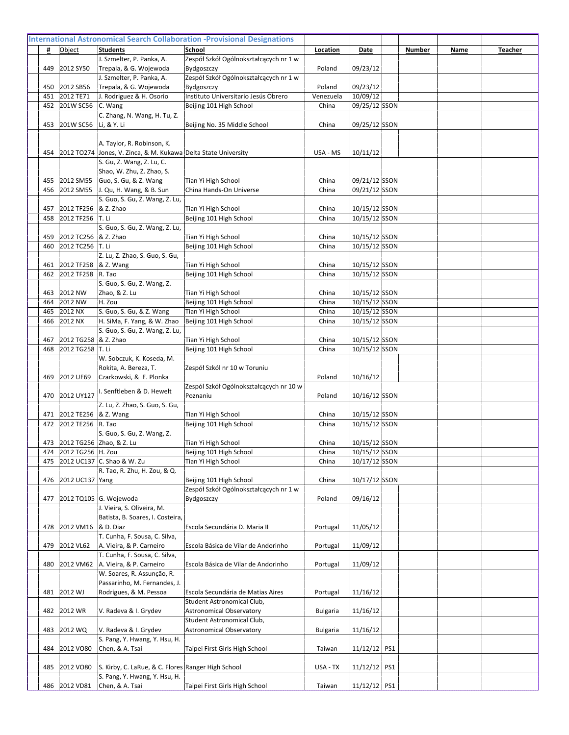|            |                                     | J. Szmelter, P. Panka, A.                                      | Zespół Szkół Ogólnokształcących nr 1 w             |                     |                      |  |
|------------|-------------------------------------|----------------------------------------------------------------|----------------------------------------------------|---------------------|----------------------|--|
| 449        | 2012 SY50                           | Trepala, & G. Wojewoda                                         | Bydgoszczy                                         | Poland              | 09/23/12             |  |
|            |                                     | J. Szmelter, P. Panka, A.                                      | Zespół Szkół Ogólnokształcących nr 1 w             |                     |                      |  |
| 450<br>451 | 2012 SB56<br>2012 TE71              | Trepala, & G. Wojewoda<br>J. Rodriguez & H. Osorio             | Bydgoszczy<br>Instituto Universitario Jesús Obrero | Poland<br>Venezuela | 09/23/12<br>10/09/12 |  |
| 452        | 201W SC56                           | C. Wang                                                        | Beijing 101 High School                            | China               | 09/25/12 SSON        |  |
|            |                                     | C. Zhang, N. Wang, H. Tu, Z.                                   |                                                    |                     |                      |  |
| 453        | 201W SC56                           | Li, & Y. Li                                                    | Beijing No. 35 Middle School                       | China               | 09/25/12 SSON        |  |
|            |                                     |                                                                |                                                    |                     |                      |  |
|            |                                     | A. Taylor, R. Robinson, K.                                     |                                                    |                     |                      |  |
| 454        |                                     | 2012 TO274 Jones, V. Zinca, & M. Kukawa Delta State University |                                                    | USA - MS            | 10/11/12             |  |
|            |                                     | S. Gu, Z. Wang, Z. Lu, C.                                      |                                                    |                     |                      |  |
|            |                                     | Shao, W. Zhu, Z. Zhao, S.                                      |                                                    |                     |                      |  |
| 455        | 2012 SM55                           | Guo, S. Gu, & Z. Wang                                          | Tian Yi High School                                | China               | 09/21/12 SSON        |  |
| 456        | 2012 SM55                           | J. Qu, H. Wang, & B. Sun                                       | China Hands-On Universe                            | China               | 09/21/12 SSON        |  |
|            |                                     | S. Guo, S. Gu, Z. Wang, Z. Lu,                                 |                                                    |                     |                      |  |
| 457        | 2012 TF256 & Z. Zhao                |                                                                | Tian Yi High School                                | China               | 10/15/12 SSON        |  |
| 458        | 2012 TF256                          | T. Li                                                          | Beijing 101 High School                            | China               | 10/15/12 SSON        |  |
|            |                                     | S. Guo, S. Gu, Z. Wang, Z. Lu,                                 |                                                    |                     |                      |  |
| 459        | 2012 TC256  & Z. Zhao               |                                                                | Tian Yi High School                                | China               | 10/15/12 SSON        |  |
| 460        | 2012 TC256 T. Li                    |                                                                | Beijing 101 High School                            | China               | 10/15/12 SSON        |  |
|            |                                     | Z. Lu, Z. Zhao, S. Guo, S. Gu,                                 |                                                    |                     |                      |  |
| 461        | 2012 TF258  & Z. Wang<br>2012 TF258 | R. Tao                                                         | Tian Yi High School                                | China               | 10/15/12 SSON        |  |
| 462        |                                     | S. Guo, S. Gu, Z. Wang, Z.                                     | Beijing 101 High School                            | China               | 10/15/12 SSON        |  |
| 463        | 2012 NW                             | Zhao, & Z. Lu                                                  | Tian Yi High School                                | China               | 10/15/12 SSON        |  |
| 464        | 2012 NW                             | H. Zou                                                         | Beijing 101 High School                            | China               | 10/15/12 SSON        |  |
| 465        | 2012 NX                             | S. Guo, S. Gu, & Z. Wang                                       | Tian Yi High School                                | China               | 10/15/12 SSON        |  |
| 466        | 2012 NX                             | H. SiMa, F. Yang, & W. Zhao                                    | Beijing 101 High School                            | China               | 10/15/12 SSON        |  |
|            |                                     | S. Guo, S. Gu, Z. Wang, Z. Lu,                                 |                                                    |                     |                      |  |
| 467        | 2012 TG258 & Z. Zhao                |                                                                | Tian Yi High School                                | China               | 10/15/12 SSON        |  |
| 468        | 2012 TG258 T. Li                    |                                                                | Beijing 101 High School                            | China               | 10/15/12 SSON        |  |
|            |                                     | W. Sobczuk, K. Koseda, M.                                      |                                                    |                     |                      |  |
|            |                                     | Rokita, A. Bereza, T.                                          | Zespół Szkól nr 10 w Toruniu                       |                     |                      |  |
| 469        | 2012 UE69                           | Czarkowski, & E. Plonka                                        |                                                    | Poland              | 10/16/12             |  |
|            |                                     | . Senftleben & D. Hewelt                                       | Zespól Szkół Ogólnokształcących nr 10 w            |                     |                      |  |
| 470        | 2012 UY127                          |                                                                | Poznaniu                                           | Poland              | 10/16/12 SSON        |  |
|            |                                     | Z. Lu, Z. Zhao, S. Guo, S. Gu,                                 |                                                    |                     |                      |  |
| 471        | 2012 TE256 & Z. Wang                |                                                                | Tian Yi High School                                | China               | 10/15/12 SSON        |  |
| 472        | 2012 TE256                          | R. Tao                                                         | Beijing 101 High School                            | China               | 10/15/12 SSON        |  |
|            |                                     | S. Guo, S. Gu, Z. Wang, Z.<br>473 2012 TG256 Zhao, & Z. Lu     | Tian Yi High School                                | China               | 10/15/12 SSON        |  |
|            | 474 2012 TG256 H. Zou               |                                                                | Beijing 101 High School                            | China               | 10/15/12 SSON        |  |
| 475        |                                     | 2012 UC137 C. Shao & W. Zu                                     | Tian Yi High School                                | China               | 10/17/12 SSON        |  |
|            |                                     | R. Tao, R. Zhu, H. Zou, & Q.                                   |                                                    |                     |                      |  |
| 476        | 2012 UC137 Yang                     |                                                                | Beijing 101 High School                            | China               | 10/17/12 SSON        |  |
|            |                                     |                                                                | Zespół Szkół Ogólnokształcących nr 1 w             |                     |                      |  |
| 477        |                                     | 2012 TQ105 G. Wojewoda                                         | Bydgoszczy                                         | Poland              | 09/16/12             |  |
|            |                                     | J. Vieira, S. Oliveira, M.                                     |                                                    |                     |                      |  |
|            |                                     | Batista, B. Soares, I. Costeira,                               |                                                    |                     |                      |  |
| 478        | 2012 VM16                           | & D. Diaz                                                      | Escola Secundária D. Maria II                      | Portugal            | 11/05/12             |  |
|            |                                     | T. Cunha, F. Sousa, C. Silva,                                  |                                                    |                     |                      |  |
| 479        | 2012 VL62                           | A. Vieira, & P. Carneiro                                       | Escola Básica de Vilar de Andorinho                | Portugal            | 11/09/12             |  |
|            |                                     | T. Cunha, F. Sousa, C. Silva,                                  |                                                    |                     |                      |  |
| 480        | 2012 VM62                           | A. Vieira, & P. Carneiro                                       | Escola Básica de Vilar de Andorinho                | Portugal            | 11/09/12             |  |
|            |                                     | W. Soares, R. Assunção, R.<br>Passarinho, M. Fernandes, J.     |                                                    |                     |                      |  |
| 481        | 2012 WJ                             | Rodrigues, & M. Pessoa                                         | Escola Secundária de Matias Aires                  | Portugal            | 11/16/12             |  |
|            |                                     |                                                                | Student Astronomical Club,                         |                     |                      |  |
| 482        | 2012 WR                             | V. Radeva & I. Grydev                                          | <b>Astronomical Observatory</b>                    | <b>Bulgaria</b>     | 11/16/12             |  |
|            |                                     |                                                                | Student Astronomical Club,                         |                     |                      |  |
| 483        | 2012 WQ                             | V. Radeva & I. Grydev                                          | <b>Astronomical Observatory</b>                    | <b>Bulgaria</b>     | 11/16/12             |  |
|            |                                     | S. Pang, Y. Hwang, Y. Hsu, H.                                  |                                                    |                     |                      |  |
| 484        | 2012 VO80                           | Chen, & A. Tsai                                                | Taipei First Girls High School                     | Taiwan              | 11/12/12 PS1         |  |
|            |                                     |                                                                |                                                    |                     |                      |  |
| 485        | 2012 VO80                           | S. Kirby, C. LaRue, & C. Flores Ranger High School             |                                                    | USA - TX            | $11/12/12$ PS1       |  |
|            |                                     | S. Pang, Y. Hwang, Y. Hsu, H.                                  |                                                    |                     |                      |  |
|            | 486 2012 VD81                       | Chen, & A. Tsai                                                | Taipei First Girls High School                     | Taiwan              | $11/12/12$ PS1       |  |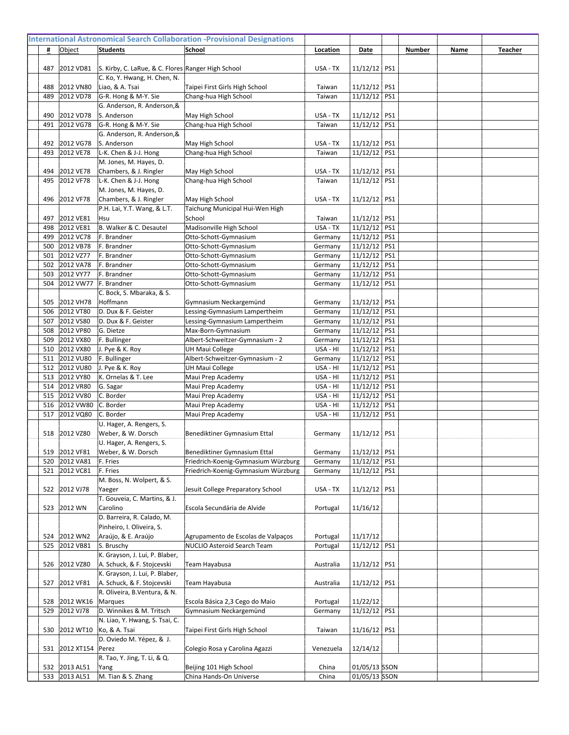| 487        | 2012 VD81              | S. Kirby, C. LaRue, & C. Flores Ranger High School |                                        | USA - TX             | $11/12/12$ PS1             |     |  |  |
|------------|------------------------|----------------------------------------------------|----------------------------------------|----------------------|----------------------------|-----|--|--|
|            |                        | C. Ko, Y. Hwang, H. Chen, N.                       |                                        |                      |                            |     |  |  |
| 488        | 2012 VN80              | Liao, & A. Tsai                                    | Taipei First Girls High School         | Taiwan               | $11/12/12$ PS1             |     |  |  |
| 489        | 2012 VD78              | G-R. Hong & M-Y. Sie                               | Chang-hua High School                  | Taiwan               | $11/12/12$ PS1             |     |  |  |
|            |                        | G. Anderson, R. Anderson, &                        |                                        |                      |                            |     |  |  |
| 490        | 2012 VD78              | S. Anderson                                        | May High School                        | USA - TX             | 11/12/12                   | PS1 |  |  |
| 491        | 2012 VG78              | G-R. Hong & M-Y. Sie                               | Chang-hua High School                  | Taiwan               | $11/12/12$ PS1             |     |  |  |
|            |                        | G. Anderson, R. Anderson, &                        |                                        |                      |                            |     |  |  |
| 492        | 2012 VG78              | S. Anderson                                        | May High School                        | USA - TX             | 11/12/12 PS1               |     |  |  |
| 493        | 2012 VE78              | L-K. Chen & J-J. Hong                              | Chang-hua High School                  | Taiwan               | $11/12/12$ PS1             |     |  |  |
|            |                        | M. Jones, M. Hayes, D.                             |                                        |                      |                            |     |  |  |
| 494        | 2012 VE78              | Chambers, & J. Ringler                             | May High School                        | USA - TX             | 11/12/12                   | PS1 |  |  |
| 495        | 2012 VF78              | L-K. Chen & J-J. Hong                              | Chang-hua High School                  | Taiwan               | $11/12/12$ PS1             |     |  |  |
|            |                        | M. Jones, M. Hayes, D.                             |                                        |                      |                            |     |  |  |
| 496        | 2012 VF78              | Chambers, & J. Ringler                             | May High School                        | USA - TX             | 11/12/12 PS1               |     |  |  |
|            |                        | P.H. Lai, Y.T. Wang, & L.T.                        | Taichung Municipal Hui-Wen High        |                      |                            |     |  |  |
| 497        | 2012 VE81              | Hsu                                                | School                                 | Taiwan               | $11/12/12$ PS1             |     |  |  |
| 498        | 2012 VE81              | B. Walker & C. Desautel                            | Madisonville High School               | USA - TX             | 11/12/12 PS1               |     |  |  |
| 499        | 2012 VC78              | F. Brandner                                        | Otto-Schott-Gymnasium                  | Germany              | $11/12/12$ PS1             |     |  |  |
| 500        | 2012 VB78              | F. Brandner                                        | Otto-Schott-Gymnasium                  | Germany              | $11/12/12$ PS1             |     |  |  |
| 501        | 2012 VZ77              | F. Brandner                                        | Otto-Schott-Gymnasium                  | Germany              | 11/12/12                   | PS1 |  |  |
| 502        | 2012 VA78              | F. Brandner                                        | Otto-Schott-Gymnasium                  | Germany              | 11/12/12                   | PS1 |  |  |
| 503        | 2012 VY77              | F. Brandner                                        | Otto-Schott-Gymnasium                  | Germany              | 11/12/12                   | PS1 |  |  |
| 504        | 2012 VW77              | F. Brandner                                        | Otto-Schott-Gymnasium                  | Germany              | 11/12/12                   | PS1 |  |  |
|            |                        | C. Bock, S. Mbaraka, & S.                          |                                        |                      |                            |     |  |  |
| 505        | 2012 VH78              | Hoffmann                                           | Gymnasium Neckargemünd                 | Germany              | 11/12/12                   | PS1 |  |  |
| 506        | 2012 VT80              | D. Dux & F. Geister                                | Lessing-Gymnasium Lampertheim          | Germany              | 11/12/12                   | PS1 |  |  |
| 507        | 2012 VS80              | D. Dux & F. Geister                                | Lessing-Gymnasium Lampertheim          | Germany              | $11/12/12$ PS1             |     |  |  |
| 508        | 2012 VP80              | G. Dietze                                          | Max-Born-Gymnasium                     | Germany              | 11/12/12                   | PS1 |  |  |
| 509        | 2012 VX80              | F. Bullinger                                       | Albert-Schweitzer-Gymnasium - 2        | Germany              | 11/12/12                   | PS1 |  |  |
| 510        | 2012 VX80              | J. Pye & K. Roy                                    | <b>UH Maui College</b>                 | USA - HI             | 11/12/12                   | PS1 |  |  |
| 511        | 2012 VU80              | F. Bullinger                                       | Albert-Schweitzer-Gymnasium - 2        | Germany              | 11/12/12                   | PS1 |  |  |
| 512        | 2012 VU80              | J. Pye & K. Roy                                    | <b>UH Maui College</b>                 | USA - HI             | 11/12/12                   | PS1 |  |  |
| 513<br>514 | 2012 VY80<br>2012 VR80 | K. Ornelas & T. Lee                                | Maui Prep Academy<br>Maui Prep Academy | USA - HI<br>USA - HI | 11/12/12<br>$11/12/12$ PS1 | PS1 |  |  |
| 515        | 2012 VV80              | G. Sagar<br>C. Border                              |                                        | USA - HI             | 11/12/12                   | PS1 |  |  |
| 516        | 2012 VW80              | C. Border                                          | Maui Prep Academy                      | USA - HI             | 11/12/12                   | PS1 |  |  |
| 517        | 2012 VQ80              | C. Border                                          | Maui Prep Academy<br>Maui Prep Academy | USA - HI             | 11/12/12                   | PS1 |  |  |
|            |                        | U. Hager, A. Rengers, S.                           |                                        |                      |                            |     |  |  |
| 518        | 2012 VZ80              | Weber, & W. Dorsch                                 | Benediktiner Gymnasium Ettal           | Germany              | 11/12/12                   | PS1 |  |  |
|            |                        | U. Hager, A. Rengers, S.                           |                                        |                      |                            |     |  |  |
| 519        | 2012 VF81              | Weber, & W. Dorsch                                 | Benediktiner Gymnasium Ettal           | Germany              | 11/12/12   PS1             |     |  |  |
| 520        | 2012 VA81              | F. Fries                                           | Friedrich-Koenig-Gymnasium Würzburg    | Germany              | $11/12/12$ PS1             |     |  |  |
| 521        | 2012 VC81              | F. Fries                                           | Friedrich-Koenig-Gymnasium Würzburg    | Germany              | 11/12/12 PS1               |     |  |  |
|            |                        | M. Boss, N. Wolpert, & S.                          |                                        |                      |                            |     |  |  |
| 522        | 2012 VJ78              | Yaeger                                             | Jesuit College Preparatory School      | USA - TX             | 11/12/12 PS1               |     |  |  |
|            |                        | T. Gouveia, C. Martins, & J.                       |                                        |                      |                            |     |  |  |
| 523        | 2012 WN                | Carolino                                           | Escola Secundária de Alvide            | Portugal             | 11/16/12                   |     |  |  |
|            |                        | D. Barreira, R. Calado, M.                         |                                        |                      |                            |     |  |  |
|            |                        | Pinheiro, I. Oliveira, S.                          |                                        |                      |                            |     |  |  |
| 524        | 2012 WN2               | Araújo, & E. Araújo                                | Agrupamento de Escolas de Valpaços     | Portugal             | 11/17/12                   |     |  |  |
| 525        | 2012 VB81              | S. Bruschy                                         | NUCLIO Asteroid Search Team            | Portugal             | 11/12/12 PS1               |     |  |  |
|            |                        | K. Grayson, J. Lui, P. Blaber,                     |                                        |                      |                            |     |  |  |
| 526        | 2012 VZ80              | A. Schuck, & F. Stojcevski                         | Team Hayabusa                          | Australia            | $11/12/12$ PS1             |     |  |  |
|            |                        | K. Grayson, J. Lui, P. Blaber,                     |                                        |                      |                            |     |  |  |
| 527        | 2012 VF81              | A. Schuck, & F. Stojcevski                         | Team Hayabusa                          | Australia            | $11/12/12$ PS1             |     |  |  |
|            |                        | R. Oliveira, B.Ventura, & N.                       |                                        |                      |                            |     |  |  |
| 528        | 2012 WK16              | Marques                                            | Escola Básica 2,3 Cego do Maio         | Portugal             | 11/22/12                   |     |  |  |
| 529        | 2012 VJ78              | D. Winnikes & M. Tritsch                           | Gymnasium Neckargemünd                 | Germany              | 11/12/12 PS1               |     |  |  |
|            |                        | N. Liao, Y. Hwang, S. Tsai, C.                     |                                        |                      |                            |     |  |  |
| 530        | 2012 WT10              | Ko, & A. Tsai                                      | Taipei First Girls High School         | Taiwan               | $11/16/12$ PS1             |     |  |  |
|            |                        | D. Oviedo M. Yépez, & J.                           |                                        |                      |                            |     |  |  |
| 531        | 2012 XT154   Perez     |                                                    | Colegio Rosa y Carolina Agazzi         | Venezuela            | 12/14/12                   |     |  |  |
|            |                        | R. Tao, Y. Jing, T. Li, & Q.                       |                                        |                      |                            |     |  |  |
| 532        | 2013 AL51              | Yang                                               | Beijing 101 High School                | China                | 01/05/13 SSON              |     |  |  |
|            | 533 2013 AL51          | M. Tian & S. Zhang                                 | China Hands-On Universe                | China                | 01/05/13 SSON              |     |  |  |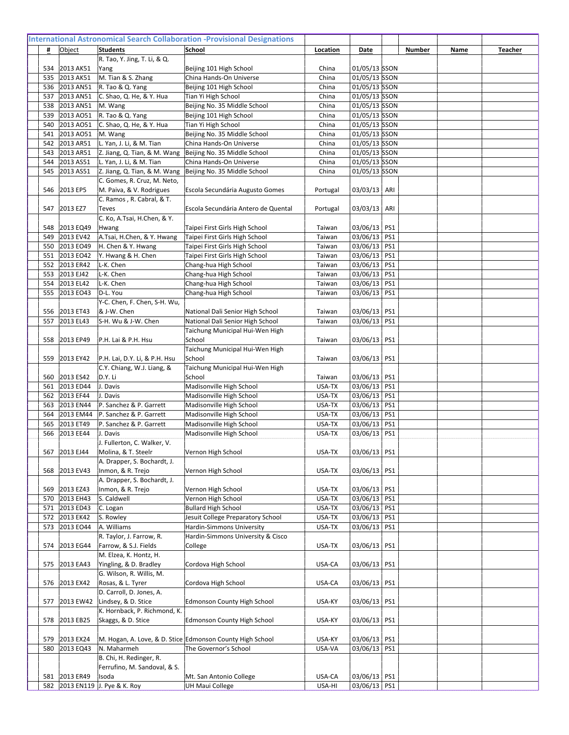|            |                        | R. Tao, Y. Jing, T. Li, & Q.                                |                                                           |                |                                |  |  |
|------------|------------------------|-------------------------------------------------------------|-----------------------------------------------------------|----------------|--------------------------------|--|--|
| 534        | 2013 AK51              | Yang                                                        | Beijing 101 High School                                   | China          | 01/05/13 SSON                  |  |  |
| 535        | 2013 AK51              | M. Tian & S. Zhang                                          | China Hands-On Universe                                   | China          | 01/05/13 SSON                  |  |  |
| 536        | 2013 AN51              | R. Tao & Q. Yang                                            | Beijing 101 High School                                   | China          | 01/05/13 SSON                  |  |  |
| 537        | 2013 AN51              | C. Shao, Q. He, & Y. Hua                                    | Tian Yi High School                                       | China          | 01/05/13 SSON                  |  |  |
| 538        | 2013 AN51              | M. Wang                                                     | Beijing No. 35 Middle School                              | China          | 01/05/13 SSON                  |  |  |
| 539        | 2013 AO51              | R. Tao & Q. Yang                                            | Beijing 101 High School                                   | China          | 01/05/13 SSON                  |  |  |
| 540        | 2013 AO51              | C. Shao, Q. He, & Y. Hua                                    | Tian Yi High School                                       | China          | 01/05/13 SSON                  |  |  |
| 541        | 2013 AO51<br>2013 AR51 | M. Wang<br>L. Yan, J. Li, & M. Tian                         | Beijing No. 35 Middle School                              | China          | 01/05/13 SSON<br>01/05/13 SSON |  |  |
| 542<br>543 | 2013 AR51              | Z. Jiang, Q. Tian, & M. Wang                                | China Hands-On Universe<br>Beijing No. 35 Middle School   | China<br>China | 01/05/13 SSON                  |  |  |
| 544        | 2013 AS51              | L. Yan, J. Li, & M. Tian                                    | China Hands-On Universe                                   | China          | 01/05/13 SSON                  |  |  |
| 545        | 2013 AS51              | Z. Jiang, Q. Tian, & M. Wang   Beijing No. 35 Middle School |                                                           | China          | 01/05/13 SSON                  |  |  |
|            |                        | C. Gomes, R. Cruz, M. Neto,                                 |                                                           |                |                                |  |  |
| 546        | 2013 EP5               | M. Paiva, & V. Rodrigues                                    | Escola Secundária Augusto Gomes                           | Portugal       | 03/03/13 ARI                   |  |  |
|            |                        | C. Ramos, R. Cabral, & T.                                   |                                                           |                |                                |  |  |
| 547        | 2013 EZ7               | Teves                                                       | Escola Secundária Antero de Quental                       | Portugal       | $03/03/13$ ARI                 |  |  |
|            |                        | C. Ko, A.Tsai, H.Chen, & Y.                                 |                                                           |                |                                |  |  |
| 548        | 2013 EQ49              | Hwang                                                       | Taipei First Girls High School                            | Taiwan         | 03/06/13 PS1                   |  |  |
| 549        | 2013 EV42              | A.Tsai, H.Chen, & Y. Hwang                                  | Taipei First Girls High School                            | Taiwan         | 03/06/13 PS1                   |  |  |
| 550        | 2013 EO49              | H. Chen & Y. Hwang                                          | Taipei First Girls High School                            | Taiwan         | 03/06/13 PS1                   |  |  |
| 551        | 2013 EO42              | Y. Hwang & H. Chen                                          | Taipei First Girls High School                            | Taiwan         | 03/06/13 PS1                   |  |  |
| 552        | 2013 ER42              | L-K. Chen                                                   | Chang-hua High School                                     | Taiwan         | 03/06/13 PS1                   |  |  |
| 553        | 2013 EJ42              | L-K. Chen                                                   | Chang-hua High School                                     | Taiwan         | 03/06/13 PS1                   |  |  |
| 554        | 2013 EL42              | L-K. Chen                                                   | Chang-hua High School                                     | Taiwan         | 03/06/13 PS1                   |  |  |
| 555        | 2013 EO43              | D-L. You                                                    | Chang-hua High School                                     | Taiwan         | 03/06/13<br>PS1                |  |  |
|            |                        | Y-C. Chen, F. Chen, S-H. Wu,                                |                                                           |                |                                |  |  |
| 556        | 2013 ET43              | & J-W. Chen                                                 | National Dali Senior High School                          | Taiwan         | 03/06/13   PS1                 |  |  |
| 557        | 2013 EL43              | S-H. Wu & J-W. Chen                                         | National Dali Senior High School                          | Taiwan         | 03/06/13 PS1                   |  |  |
|            |                        |                                                             | Taichung Municipal Hui-Wen High                           |                |                                |  |  |
| 558        | 2013 EP49              | P.H. Lai & P.H. Hsu                                         | School                                                    | Taiwan         | 03/06/13<br>PS1                |  |  |
|            |                        |                                                             | Taichung Municipal Hui-Wen High                           |                |                                |  |  |
| 559        | 2013 EY42              | P.H. Lai, D.Y. Li, & P.H. Hsu                               | School                                                    | Taiwan         | 03/06/13 PS1                   |  |  |
|            |                        | C.Y. Chiang, W.J. Liang, &                                  | Taichung Municipal Hui-Wen High                           |                |                                |  |  |
| 560        | 2013 ES42              | D.Y. Li                                                     | School                                                    | Taiwan         | 03/06/13 PS1                   |  |  |
| 561        | 2013 ED44              | J. Davis                                                    | Madisonville High School                                  | USA-TX         | 03/06/13 PS1                   |  |  |
| 562        | 2013 EF44              | J. Davis                                                    | Madisonville High School                                  | USA-TX         | 03/06/13 PS1                   |  |  |
| 563        | 2013 EN44              | P. Sanchez & P. Garrett                                     | Madisonville High School                                  | USA-TX         | 03/06/13 PS1                   |  |  |
| 564        | 2013 EM44              | P. Sanchez & P. Garrett                                     | Madisonville High School                                  | USA-TX         | 03/06/13 PS1                   |  |  |
| 565        | 2013 ET49              | P. Sanchez & P. Garrett                                     | Madisonville High School                                  | USA-TX         | 03/06/13 PS1                   |  |  |
| 566        | 2013 EE44              | J. Davis                                                    | Madisonville High School                                  | USA-TX         | 03/06/13<br>PS1                |  |  |
|            |                        | J. Fullerton, C. Walker, V.                                 |                                                           |                |                                |  |  |
| 567        | 2013 EJ44              | Molina, & T. Steelr                                         | Vernon High School                                        | USA-TX         | $03/06/13$   PS1               |  |  |
|            |                        | A. Drapper, S. Bochardt, J.                                 |                                                           |                |                                |  |  |
| 568        | 2013 EV43              | Inmon, & R. Trejo                                           | Vernon High School                                        | USA-TX         | 03/06/13 PS1                   |  |  |
|            |                        | A. Drapper, S. Bochardt, J.                                 |                                                           |                |                                |  |  |
| 569        | 2013 EZ43              | Inmon, & R. Trejo                                           | Vernon High School                                        | USA-TX         | 03/06/13 PS1                   |  |  |
| 570        | 2013 EH43              | S. Caldwell                                                 | Vernon High School                                        | USA-TX         | 03/06/13 PS1                   |  |  |
| 571        | 2013 ED43              | C. Logan                                                    | <b>Bullard High School</b>                                | USA-TX         | 03/06/13 PS1                   |  |  |
| 572        | 2013 EK42              | S. Rowley                                                   | Jesuit College Preparatory School                         | USA-TX         | 03/06/13 PS1                   |  |  |
| 573        | 2013 EO44              | A. Williams                                                 | Hardin-Simmons University                                 | USA-TX         | 03/06/13 PS1                   |  |  |
|            |                        | R. Taylor, J. Farrow, R.                                    | Hardin-Simmons University & Cisco                         |                |                                |  |  |
| 574        | 2013 EG44              | Farrow, & S.J. Fields                                       | College                                                   | USA-TX         | PS1<br>03/06/13                |  |  |
|            |                        | M. Elzea, K. Hontz, H.                                      |                                                           |                |                                |  |  |
| 575        | 2013 EA43              | Yingling, & D. Bradley                                      | Cordova High School                                       | USA-CA         | 03/06/13   PS1                 |  |  |
|            |                        | G. Wilson, R. Willis, M.                                    |                                                           |                |                                |  |  |
| 576        | 2013 EX42              | Rosas, & L. Tyrer                                           | Cordova High School                                       | USA-CA         | 03/06/13<br>PS1                |  |  |
|            |                        | D. Carroll, D. Jones, A.                                    |                                                           |                |                                |  |  |
| 577        | 2013 EW42              | Lindsey, & D. Stice                                         | <b>Edmonson County High School</b>                        | USA-KY         | PS1<br>03/06/13                |  |  |
|            |                        | K. Hornback, P. Richmond, K.                                |                                                           |                |                                |  |  |
| 578        | 2013 EB25              | Skaggs, & D. Stice                                          | <b>Edmonson County High School</b>                        | USA-KY         | 03/06/13 PS1                   |  |  |
|            |                        |                                                             |                                                           |                |                                |  |  |
| 579        | 2013 EX24              |                                                             | M. Hogan, A. Love, & D. Stice Edmonson County High School | USA-KY         | 03/06/13 PS1                   |  |  |
| 580        | 2013 EQ43              | N. Maharmeh                                                 | The Governor's School                                     | USA-VA         | 03/06/13 PS1                   |  |  |
|            |                        | B. Chi, H. Redinger, R.                                     |                                                           |                |                                |  |  |
|            |                        | Ferrufino, M. Sandoval, & S.                                |                                                           |                |                                |  |  |
| 581        | 2013 ER49              | Isoda                                                       | Mt. San Antonio College                                   | USA-CA         | 03/06/13 PS1                   |  |  |
|            |                        | 582 2013 EN119 J. Pye & K. Roy                              | <b>UH Maui College</b>                                    | USA-HI         | 03/06/13 PS1                   |  |  |
|            |                        |                                                             |                                                           |                |                                |  |  |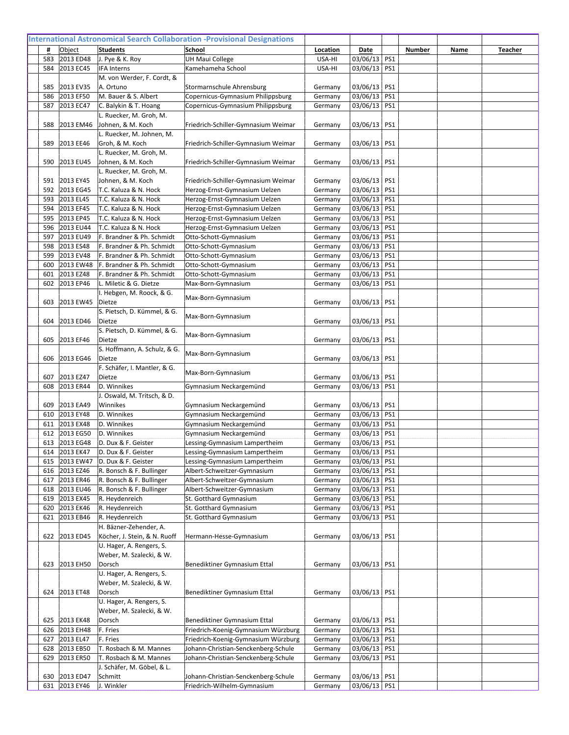| 583 | 2013 ED48                  | J. Pye & K. Roy                              | <b>UH Maui College</b>              | USA-HI  | 03/06/13 PS1                 |  |  |
|-----|----------------------------|----------------------------------------------|-------------------------------------|---------|------------------------------|--|--|
| 584 | 2013 EC45                  | <b>IFA Interns</b>                           | Kamehameha School                   | USA-HI  | 03/06/13 PS1                 |  |  |
|     |                            | M. von Werder, F. Cordt, &                   |                                     |         |                              |  |  |
| 585 | 2013 EV35                  | A. Ortuno                                    | Stormarnschule Ahrensburg           | Germany | 03/06/13 PS1                 |  |  |
| 586 | 2013 EF50                  | M. Bauer & S. Albert                         | Copernicus-Gymnasium Philippsburg   | Germany | 03/06/13 PS1                 |  |  |
| 587 | 2013 EC47                  | C. Balykin & T. Hoang                        | Copernicus-Gymnasium Philippsburg   | Germany | 03/06/13 PS1                 |  |  |
|     |                            | L. Ruecker, M. Groh, M.                      |                                     |         |                              |  |  |
| 588 | 2013 EM46                  | Johnen, & M. Koch                            | Friedrich-Schiller-Gymnasium Weimar | Germany | 03/06/13   PS1               |  |  |
|     |                            | L. Ruecker, M. Johnen, M.                    |                                     |         |                              |  |  |
| 589 | 2013 EE46                  | Groh, & M. Koch                              | Friedrich-Schiller-Gymnasium Weimar | Germany | 03/06/13   PS1               |  |  |
|     |                            | L. Ruecker, M. Groh, M.                      |                                     |         |                              |  |  |
| 590 | 2013 EU45                  | Johnen, & M. Koch                            | Friedrich-Schiller-Gymnasium Weimar | Germany | 03/06/13 PS1                 |  |  |
| 591 | 2013 EY45                  | L. Ruecker, M. Groh, M.<br>Johnen, & M. Koch | Friedrich-Schiller-Gymnasium Weimar | Germany | 03/06/13   PS1               |  |  |
| 592 | 2013 EG45                  | T.C. Kaluza & N. Hock                        | Herzog-Ernst-Gymnasium Uelzen       | Germany | 03/06/13 PS1                 |  |  |
| 593 | 2013 EL45                  | T.C. Kaluza & N. Hock                        | Herzog-Ernst-Gymnasium Uelzen       | Germany | 03/06/13 PS1                 |  |  |
| 594 | 2013 EF45                  | T.C. Kaluza & N. Hock                        | Herzog-Ernst-Gymnasium Uelzen       | Germany | 03/06/13 PS1                 |  |  |
| 595 | 2013 EP45                  | T.C. Kaluza & N. Hock                        | Herzog-Ernst-Gymnasium Uelzen       | Germany | 03/06/13 PS1                 |  |  |
| 596 | 2013 EU44                  | T.C. Kaluza & N. Hock                        | Herzog-Ernst-Gymnasium Uelzen       | Germany | 03/06/13 PS1                 |  |  |
| 597 | 2013 EU49                  | F. Brandner & Ph. Schmidt                    | Otto-Schott-Gymnasium               | Germany | 03/06/13 PS1                 |  |  |
| 598 | 2013 ES48                  | F. Brandner & Ph. Schmidt                    | Otto-Schott-Gymnasium               | Germany | 03/06/13 PS1                 |  |  |
| 599 | 2013 EV48                  | F. Brandner & Ph. Schmidt                    | Otto-Schott-Gymnasium               | Germany | 03/06/13 PS1                 |  |  |
| 600 | 2013 EW48                  | F. Brandner & Ph. Schmidt                    | Otto-Schott-Gymnasium               | Germany | 03/06/13 PS1                 |  |  |
| 601 | 2013 EZ48                  | F. Brandner & Ph. Schmidt                    | Otto-Schott-Gymnasium               | Germany | 03/06/13 PS1                 |  |  |
| 602 | 2013 EP46                  | L. Miletic & G. Dietze                       | Max-Born-Gymnasium                  | Germany | 03/06/13 PS1                 |  |  |
|     |                            | I. Hebgen, M. Roock, & G.                    | Max-Born-Gymnasium                  |         |                              |  |  |
| 603 | 2013 EW45                  | Dietze                                       |                                     | Germany | 03/06/13   PS1               |  |  |
|     |                            | S. Pietsch, D. Kümmel, & G.                  | Max-Born-Gymnasium                  |         |                              |  |  |
| 604 | 2013 ED46                  | Dietze                                       |                                     | Germany | 03/06/13   PS1               |  |  |
|     |                            | S. Pietsch, D. Kümmel, & G.                  | Max-Born-Gymnasium                  |         |                              |  |  |
| 605 | 2013 EF46                  | Dietze                                       |                                     | Germany | 03/06/13   PS1               |  |  |
|     |                            | S. Hoffmann, A. Schulz, & G.                 | Max-Born-Gymnasium                  |         |                              |  |  |
| 606 | 2013 EG46                  | Dietze                                       |                                     | Germany | 03/06/13   PS1               |  |  |
| 607 | 2013 EZ47                  | F. Schäfer, I. Mantler, & G.<br>Dietze       | Max-Born-Gymnasium                  | Germany | 03/06/13   PS1               |  |  |
| 608 | 2013 ER44                  | D. Winnikes                                  | Gymnasium Neckargemünd              | Germany | 03/06/13 PS1                 |  |  |
|     |                            | J. Oswald, M. Tritsch, & D.                  |                                     |         |                              |  |  |
| 609 | 2013 EA49                  | Winnikes                                     | Gymnasium Neckargemünd              | Germany | 03/06/13 PS1                 |  |  |
| 610 | 2013 EY48                  | D. Winnikes                                  | Gymnasium Neckargemünd              | Germany | 03/06/13 PS1                 |  |  |
| 611 | 2013 EX48                  | D. Winnikes                                  | Gymnasium Neckargemünd              | Germany | 03/06/13 PS1                 |  |  |
| 612 | 2013 EG50                  | D. Winnikes                                  | Gymnasium Neckargemünd              | Germany | 03/06/13 PS1                 |  |  |
| 613 | 2013 EG48                  | D. Dux & F. Geister                          | Lessing-Gymnasium Lampertheim       | Germany | 03/06/13 PS1                 |  |  |
|     | 614 2013 EK47              | D. Dux & F. Geister                          | Lessing-Gymnasium Lampertheim       | Germany | 03/06/13 PS1                 |  |  |
| 615 | 2013 EW47                  | D. Dux & F. Geister                          | Lessing-Gymnasium Lampertheim       | Germany | 03/06/13 PS1                 |  |  |
| 616 | 2013 EZ46                  | R. Bonsch & F. Bullinger                     | Albert-Schweitzer-Gymnasium         | Germany | 03/06/13 PS1                 |  |  |
| 617 | 2013 ER46                  | R. Bonsch & F. Bullinger                     | Albert-Schweitzer-Gymnasium         | Germany | 03/06/13 PS1                 |  |  |
| 618 | 2013 EU46                  | R. Bonsch & F. Bullinger                     | Albert-Schweitzer-Gymnasium         | Germany | 03/06/13 PS1                 |  |  |
| 619 | 2013 EX45                  | R. Heydenreich                               | St. Gotthard Gymnasium              | Germany | 03/06/13 PS1                 |  |  |
| 620 | 2013 EK46                  | R. Heydenreich                               | St. Gotthard Gymnasium              | Germany | 03/06/13 PS1                 |  |  |
| 621 | 2013 EB46                  | R. Heydenreich<br>H. Bäzner-Zehender, A.     | St. Gotthard Gymnasium              | Germany | 03/06/13 PS1                 |  |  |
| 622 | 2013 ED45                  | Köcher, J. Stein, & N. Ruoff                 | Hermann-Hesse-Gymnasium             | Germany | 03/06/13 PS1                 |  |  |
|     |                            | U. Hager, A. Rengers, S.                     |                                     |         |                              |  |  |
|     |                            | Weber, M. Szalecki, & W.                     |                                     |         |                              |  |  |
|     | 623 2013 EH50              | Dorsch                                       | Benediktiner Gymnasium Ettal        | Germany | 03/06/13 PS1                 |  |  |
|     |                            | U. Hager, A. Rengers, S.                     |                                     |         |                              |  |  |
|     |                            | Weber, M. Szalecki, & W.                     |                                     |         |                              |  |  |
| 624 | 2013 ET48                  | Dorsch                                       | Benediktiner Gymnasium Ettal        | Germany | 03/06/13 PS1                 |  |  |
|     |                            | U. Hager, A. Rengers, S.                     |                                     |         |                              |  |  |
|     |                            | Weber, M. Szalecki, & W.                     |                                     |         |                              |  |  |
| 625 | 2013 EK48                  | Dorsch                                       | Benediktiner Gymnasium Ettal        | Germany | 03/06/13 PS1                 |  |  |
| 626 | 2013 EH48                  | F. Fries                                     | Friedrich-Koenig-Gymnasium Würzburg | Germany | 03/06/13 PS1                 |  |  |
| 627 | 2013 EL47                  | F. Fries                                     | Friedrich-Koenig-Gymnasium Würzburg | Germany | 03/06/13 PS1                 |  |  |
| 628 | 2013 EB50                  | T. Rosbach & M. Mannes                       | Johann-Christian-Senckenberg-Schule | Germany | 03/06/13 PS1                 |  |  |
| 629 | 2013 ER50                  | T. Rosbach & M. Mannes                       | Johann-Christian-Senckenberg-Schule | Germany | 03/06/13 PS1                 |  |  |
|     |                            | J. Schäfer, M. Göbel, & L.                   |                                     |         |                              |  |  |
| 630 | 2013 ED47<br>631 2013 EY46 | Schmitt<br>J. Winkler                        | Johann-Christian-Senckenberg-Schule | Germany | 03/06/13 PS1<br>03/06/13 PS1 |  |  |
|     |                            |                                              | Friedrich-Wilhelm-Gymnasium         | Germany |                              |  |  |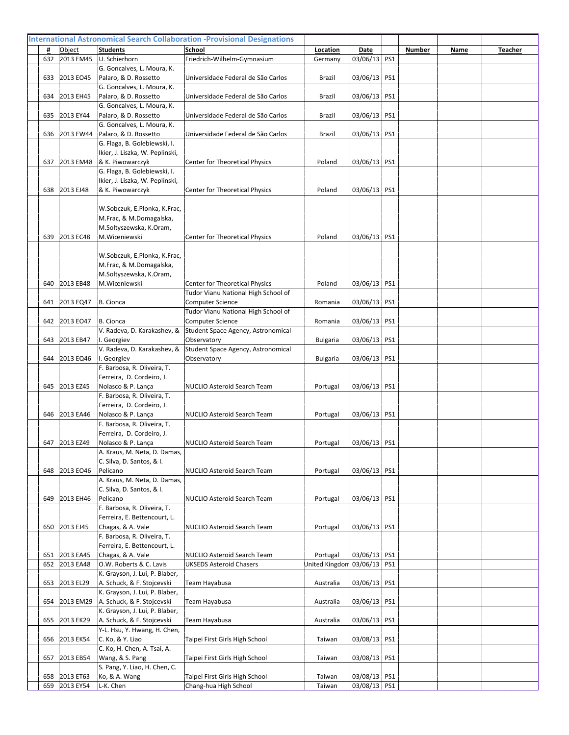| 632 | 2013 EM45     | U. Schierhorn                                                   | Friedrich-Wilhelm-Gymnasium                                    | Germany         | 03/06/13 PS1   |  |  |
|-----|---------------|-----------------------------------------------------------------|----------------------------------------------------------------|-----------------|----------------|--|--|
| 633 | 2013 EO45     | G. Goncalves, L. Moura, K.<br>Palaro, & D. Rossetto             | Universidade Federal de São Carlos                             | Brazil          | 03/06/13 PS1   |  |  |
|     |               | G. Goncalves, L. Moura, K.                                      |                                                                |                 |                |  |  |
| 634 | 2013 EH45     | Palaro, & D. Rossetto                                           | Universidade Federal de São Carlos                             | Brazil          | 03/06/13   PS1 |  |  |
|     |               | G. Goncalves, L. Moura, K.                                      |                                                                |                 |                |  |  |
| 635 | 2013 EY44     | Palaro, & D. Rossetto                                           | Universidade Federal de São Carlos                             | Brazil          | 03/06/13 PS1   |  |  |
|     |               | G. Goncalves, L. Moura, K.                                      |                                                                |                 |                |  |  |
| 636 | 2013 EW44     | Palaro, & D. Rossetto                                           | Universidade Federal de São Carlos                             | Brazil          | 03/06/13   PS1 |  |  |
|     |               | G. Flaga, B. Golebiewski, I.<br>Ikier, J. Liszka, W. Peplinski, |                                                                |                 |                |  |  |
| 637 | 2013 EM48     | & K. Piwowarczyk                                                | Center for Theoretical Physics                                 | Poland          | 03/06/13 PS1   |  |  |
|     |               | G. Flaga, B. Golebiewski, I.                                    |                                                                |                 |                |  |  |
|     |               | Ikier, J. Liszka, W. Peplinski,                                 |                                                                |                 |                |  |  |
| 638 | 2013 EJ48     | & K. Piwowarczyk                                                | Center for Theoretical Physics                                 | Poland          | 03/06/13   PS1 |  |  |
|     |               |                                                                 |                                                                |                 |                |  |  |
|     |               | W.Sobczuk, E.Plonka, K.Frac,                                    |                                                                |                 |                |  |  |
|     |               | M.Frac, & M.Domagalska,<br>M.Soltyszewska, K.Oram,              |                                                                |                 |                |  |  |
| 639 | 2013 EC48     | M.Wiœniewski                                                    | Center for Theoretical Physics                                 | Poland          | 03/06/13 PS1   |  |  |
|     |               |                                                                 |                                                                |                 |                |  |  |
|     |               | W.Sobczuk, E.Plonka, K.Frac,                                    |                                                                |                 |                |  |  |
|     |               | M.Frac, & M.Domagalska,                                         |                                                                |                 |                |  |  |
|     |               | M.Soltyszewska, K.Oram,                                         |                                                                |                 |                |  |  |
| 640 | 2013 EB48     | M.Wiœniewski                                                    | <b>Center for Theoretical Physics</b>                          | Poland          | 03/06/13 PS1   |  |  |
|     |               |                                                                 | Tudor Vianu National High School of<br><b>Computer Science</b> |                 |                |  |  |
| 641 | 2013 EQ47     | B. Cionca                                                       | Tudor Vianu National High School of                            | Romania         | 03/06/13   PS1 |  |  |
| 642 | 2013 EO47     | B. Cionca                                                       | Computer Science                                               | Romania         | 03/06/13   PS1 |  |  |
|     |               | V. Radeva, D. Karakashev, &                                     | Student Space Agency, Astronomical                             |                 |                |  |  |
| 643 | 2013 EB47     | I. Georgiev                                                     | Observatory                                                    | Bulgaria        | 03/06/13 PS1   |  |  |
|     |               | V. Radeva, D. Karakashev, &                                     | Student Space Agency, Astronomical                             |                 |                |  |  |
| 644 | 2013 EQ46     | I. Georgiev                                                     | Observatory                                                    | <b>Bulgaria</b> | 03/06/13   PS1 |  |  |
|     |               | F. Barbosa, R. Oliveira, T.<br>Ferreira, D. Cordeiro, J.        |                                                                |                 |                |  |  |
| 645 | 2013 EZ45     | Nolasco & P. Lança                                              | <b>NUCLIO Asteroid Search Team</b>                             | Portugal        | 03/06/13   PS1 |  |  |
|     |               | F. Barbosa, R. Oliveira, T.                                     |                                                                |                 |                |  |  |
|     |               | Ferreira, D. Cordeiro, J.                                       |                                                                |                 |                |  |  |
| 646 | 2013 EA46     | Nolasco & P. Lanca                                              | NUCLIO Asteroid Search Team                                    | Portugal        | 03/06/13   PS1 |  |  |
|     |               | F. Barbosa, R. Oliveira, T.                                     |                                                                |                 |                |  |  |
|     |               | Ferreira, D. Cordeiro, J.                                       |                                                                |                 |                |  |  |
|     | 647 2013 EZ49 | Nolasco & P. Lança<br>A. Kraus, M. Neta, D. Damas,              | NUCLIO Asteroid Search Team                                    | Portugal        | 03/06/13 PS1   |  |  |
|     |               | C. Silva, D. Santos, & I.                                       |                                                                |                 |                |  |  |
| 648 | 2013 EO46     | Pelicano                                                        | NUCLIO Asteroid Search Team                                    | Portugal        | 03/06/13 PS1   |  |  |
|     |               | A. Kraus, M. Neta, D. Damas,                                    |                                                                |                 |                |  |  |
|     |               | C. Silva, D. Santos, & I.                                       |                                                                |                 |                |  |  |
| 649 | 2013 EH46     | Pelicano                                                        | NUCLIO Asteroid Search Team                                    | Portugal        | 03/06/13 PS1   |  |  |
|     |               | F. Barbosa, R. Oliveira, T.<br>Ferreira, E. Bettencourt, L.     |                                                                |                 |                |  |  |
| 650 | 2013 EJ45     | Chagas, & A. Vale                                               | NUCLIO Asteroid Search Team                                    | Portugal        | 03/06/13 PS1   |  |  |
|     |               | F. Barbosa, R. Oliveira, T.                                     |                                                                |                 |                |  |  |
|     |               | Ferreira, E. Bettencourt, L.                                    |                                                                |                 |                |  |  |
| 651 | 2013 EA45     | Chagas, & A. Vale                                               | NUCLIO Asteroid Search Team                                    | Portugal        | 03/06/13 PS1   |  |  |
| 652 | 2013 EA48     | O.W. Roberts & C. Lavis                                         | <b>UKSEDS Asteroid Chasers</b>                                 | United Kingdom  | 03/06/13 PS1   |  |  |
| 653 |               | K. Grayson, J. Lui, P. Blaber,<br>A. Schuck, & F. Stojcevski    | Team Hayabusa                                                  |                 | 03/06/13 PS1   |  |  |
|     | 2013 EL29     | K. Grayson, J. Lui, P. Blaber,                                  |                                                                | Australia       |                |  |  |
| 654 | 2013 EM29     | A. Schuck, & F. Stojcevski                                      | Team Hayabusa                                                  | Australia       | 03/06/13 PS1   |  |  |
|     |               | K. Grayson, J. Lui, P. Blaber,                                  |                                                                |                 |                |  |  |
| 655 | 2013 EK29     | A. Schuck, & F. Stojcevski                                      | Team Hayabusa                                                  | Australia       | 03/06/13   PS1 |  |  |
|     |               | Y-L. Hsu, Y. Hwang, H. Chen,                                    |                                                                |                 |                |  |  |
| 656 | 2013 EK54     | C. Ko, & Y. Liao                                                | Taipei First Girls High School                                 | Taiwan          | 03/08/13   PS1 |  |  |
| 657 | 2013 EB54     | C. Ko, H. Chen, A. Tsai, A.<br>Wang, & S. Pang                  | Taipei First Girls High School                                 | Taiwan          | 03/08/13   PS1 |  |  |
|     |               | S. Pang, Y. Liao, H. Chen, C.                                   |                                                                |                 |                |  |  |
| 658 | 2013 ET63     | Ko, & A. Wang                                                   | Taipei First Girls High School                                 | Taiwan          | 03/08/13 PS1   |  |  |
|     | 659 2013 EY54 | L-K. Chen                                                       | Chang-hua High School                                          | Taiwan          | 03/08/13 PS1   |  |  |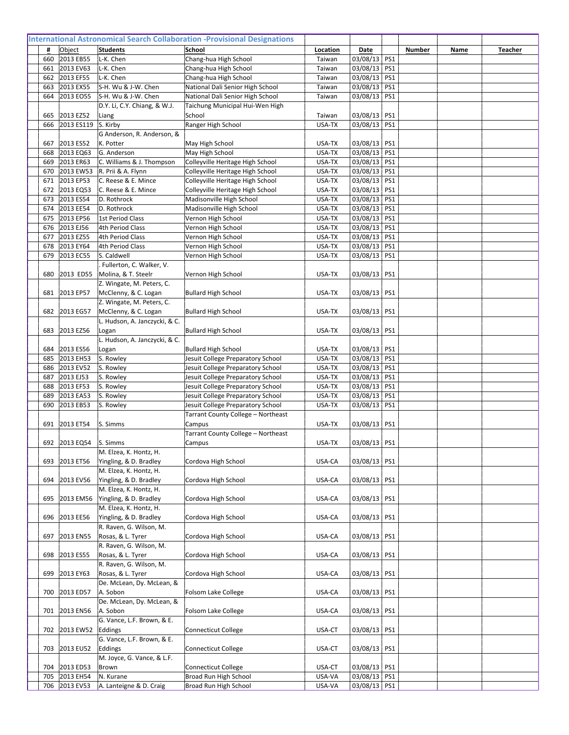|            | 2013 EB55                  | L-K. Chen                                         |                                                      |                  | 03/08/13 PS1                 |     |  |  |
|------------|----------------------------|---------------------------------------------------|------------------------------------------------------|------------------|------------------------------|-----|--|--|
| 660<br>661 | 2013 EV63                  | L-K. Chen                                         | Chang-hua High School<br>Chang-hua High School       | Taiwan<br>Taiwan | 03/08/13 PS1                 |     |  |  |
| 662        | 2013 EF55                  | L-K. Chen                                         | Chang-hua High School                                | Taiwan           | 03/08/13 PS1                 |     |  |  |
| 663        | 2013 EX55                  | S-H. Wu & J-W. Chen                               | National Dali Senior High School                     | Taiwan           | 03/08/13                     | PS1 |  |  |
| 664        | 2013 EO55                  | S-H. Wu & J-W. Chen                               | National Dali Senior High School                     | Taiwan           | 03/08/13                     | PS1 |  |  |
|            |                            | D.Y. Li, C.Y. Chiang, & W.J.                      | Taichung Municipal Hui-Wen High                      |                  |                              |     |  |  |
| 665<br>666 | 2013 EZ52<br>2013 ES119    | Liang<br>S. Kirby                                 | School<br>Ranger High School                         | Taiwan<br>USA-TX | 03/08/13 PS1<br>03/08/13     | PS1 |  |  |
|            |                            | G Anderson, R. Anderson, &                        |                                                      |                  |                              |     |  |  |
| 667        | 2013 ES52                  | K. Potter                                         | May High School                                      | USA-TX           | 03/08/13 PS1                 |     |  |  |
| 668        | 2013 EQ63                  | G. Anderson                                       | May High School                                      | USA-TX           | 03/08/13 PS1                 |     |  |  |
| 669        | 2013 ER63                  | C. Williams & J. Thompson                         | Colleyville Heritage High School                     | USA-TX           | 03/08/13 PS1                 |     |  |  |
| 670        | 2013 EW53                  | R. Prii & A. Flynn                                | Colleyville Heritage High School                     | USA-TX           | 03/08/13 PS1                 |     |  |  |
| 671        | 2013 EP53                  | C. Reese & E. Mince                               | Colleyville Heritage High School                     | USA-TX           | 03/08/13 PS1                 |     |  |  |
| 672        | 2013 EQ53                  | C. Reese & E. Mince                               | Colleyville Heritage High School                     | USA-TX           | 03/08/13                     | PS1 |  |  |
| 673<br>674 | 2013 ES54<br>2013 EE54     | D. Rothrock<br>D. Rothrock                        | Madisonville High School<br>Madisonville High School | USA-TX<br>USA-TX | 03/08/13 PS1<br>03/08/13 PS1 |     |  |  |
| 675        | 2013 EP56                  | 1st Period Class                                  | Vernon High School                                   | USA-TX           | 03/08/13                     | PS1 |  |  |
| 676        | 2013 EJ56                  | 4th Period Class                                  | Vernon High School                                   | USA-TX           | 03/08/13 PS1                 |     |  |  |
| 677        | 2013 EZ55                  | 4th Period Class                                  | Vernon High School                                   | USA-TX           | 03/08/13 PS1                 |     |  |  |
| 678        | 2013 EY64                  | 4th Period Class                                  | Vernon High School                                   | USA-TX           | 03/08/13 PS1                 |     |  |  |
| 679        | 2013 EC55                  | S. Caldwell                                       | Vernon High School                                   | USA-TX           | 03/08/13                     | PS1 |  |  |
|            |                            | Fullerton, C. Walker, V.                          |                                                      |                  |                              |     |  |  |
| 680        | 2013 ED55                  | Molina, & T. Steelr                               | Vernon High School                                   | USA-TX           | 03/08/13                     | PS1 |  |  |
|            |                            | Z. Wingate, M. Peters, C.                         |                                                      |                  |                              |     |  |  |
| 681        | 2013 EP57                  | McClenny, & C. Logan                              | <b>Bullard High School</b>                           | USA-TX           | 03/08/13                     | PS1 |  |  |
| 682        | 2013 EG57                  | Z. Wingate, M. Peters, C.<br>McClenny, & C. Logan |                                                      | USA-TX           | 03/08/13                     | PS1 |  |  |
|            |                            | L. Hudson, A. Janczycki, & C.                     | <b>Bullard High School</b>                           |                  |                              |     |  |  |
| 683        | 2013 EZ56                  | Logan                                             | <b>Bullard High School</b>                           | USA-TX           | 03/08/13                     | PS1 |  |  |
|            |                            | L. Hudson, A. Janczycki, & C.                     |                                                      |                  |                              |     |  |  |
| 684        | 2013 ES56                  | Logan                                             | <b>Bullard High School</b>                           | USA-TX           | 03/08/13 PS1                 |     |  |  |
| 685        | 2013 EH53                  | S. Rowley                                         | Jesuit College Preparatory School                    | USA-TX           | 03/08/13 PS1                 |     |  |  |
| 686        |                            |                                                   |                                                      |                  |                              |     |  |  |
|            | 2013 EV52                  | S. Rowley                                         | Jesuit College Preparatory School                    | USA-TX           | 03/08/13 PS1                 |     |  |  |
| 687        | 2013 EJ53                  | S. Rowley                                         | Jesuit College Preparatory School                    | USA-TX           | 03/08/13 PS1                 |     |  |  |
| 688        | 2013 EF53                  | S. Rowley                                         | Jesuit College Preparatory School                    | USA-TX           | 03/08/13                     | PS1 |  |  |
| 689        | 2013 EA53                  | S. Rowley                                         | Jesuit College Preparatory School                    | USA-TX           | 03/08/13                     | PS1 |  |  |
| 690        | 2013 EB53                  | S. Rowley                                         | Jesuit College Preparatory School                    | USA-TX           | 03/08/13                     | PS1 |  |  |
|            |                            |                                                   | Tarrant County College - Northeast                   |                  |                              |     |  |  |
| 691        | 2013 ET54                  | S. Simms                                          | Campus<br>Tarrant County College - Northeast         | USA-TX           | 03/08/13                     | PS1 |  |  |
|            | 692 2013 EQ54 S. Simms     |                                                   | Campus                                               | USA-TX           | 03/08/13   PS1               |     |  |  |
|            |                            | M. Elzea, K. Hontz, H.                            |                                                      |                  |                              |     |  |  |
| 693        | 2013 ET56                  | Yingling, & D. Bradley                            | Cordova High School                                  | USA-CA           | 03/08/13 PS1                 |     |  |  |
|            |                            | M. Elzea, K. Hontz, H.                            |                                                      |                  |                              |     |  |  |
| 694        | 2013 EV56                  | Yingling, & D. Bradley                            | Cordova High School                                  | USA-CA           | 03/08/13 PS1                 |     |  |  |
|            |                            | M. Elzea, K. Hontz, H.                            |                                                      |                  |                              |     |  |  |
| 695        | 2013 EM56                  | Yingling, & D. Bradley                            | Cordova High School                                  | USA-CA           | 03/08/13   PS1               |     |  |  |
| 696        | 2013 EE56                  | M. Elzea, K. Hontz, H.                            | Cordova High School                                  | USA-CA           |                              |     |  |  |
|            |                            | Yingling, & D. Bradley<br>R. Raven, G. Wilson, M. |                                                      |                  | 03/08/13 PS1                 |     |  |  |
| 697        | 2013 EN55                  | Rosas, & L. Tyrer                                 | Cordova High School                                  | USA-CA           | 03/08/13 PS1                 |     |  |  |
|            |                            | R. Raven, G. Wilson, M.                           |                                                      |                  |                              |     |  |  |
| 698        | 2013 ES55                  | Rosas, & L. Tyrer                                 | Cordova High School                                  | USA-CA           | 03/08/13 PS1                 |     |  |  |
|            |                            | R. Raven, G. Wilson, M.                           |                                                      |                  |                              |     |  |  |
| 699        | 2013 EY63                  | Rosas, & L. Tyrer                                 | Cordova High School                                  | USA-CA           | 03/08/13 PS1                 |     |  |  |
|            |                            | De. McLean, Dy. McLean, &                         |                                                      |                  |                              |     |  |  |
| 700        | 2013 ED57                  | A. Sobon                                          | Folsom Lake College                                  | USA-CA           | 03/08/13 PS1                 |     |  |  |
| 701        | 2013 EN56                  | De. McLean, Dy. McLean, &<br>A. Sobon             |                                                      | USA-CA           |                              |     |  |  |
|            |                            | G. Vance, L.F. Brown, & E.                        | Folsom Lake College                                  |                  | 03/08/13   PS1               |     |  |  |
| 702        | 2013 EW52                  | Eddings                                           | <b>Connecticut College</b>                           | USA-CT           | 03/08/13 PS1                 |     |  |  |
|            |                            | G. Vance, L.F. Brown, & E.                        |                                                      |                  |                              |     |  |  |
| 703        | 2013 EU52                  | Eddings                                           | <b>Connecticut College</b>                           | USA-CT           | 03/08/13 PS1                 |     |  |  |
|            |                            | M. Joyce, G. Vance, & L.F.                        |                                                      |                  |                              |     |  |  |
| 704        | 2013 ED53                  | Brown                                             | <b>Connecticut College</b>                           | USA-CT           | 03/08/13 PS1                 |     |  |  |
| 705        | 2013 EH54<br>706 2013 EV53 | N. Kurane<br>A. Lanteigne & D. Craig              | Broad Run High School<br>Broad Run High School       | USA-VA<br>USA-VA | 03/08/13 PS1<br>03/08/13 PS1 |     |  |  |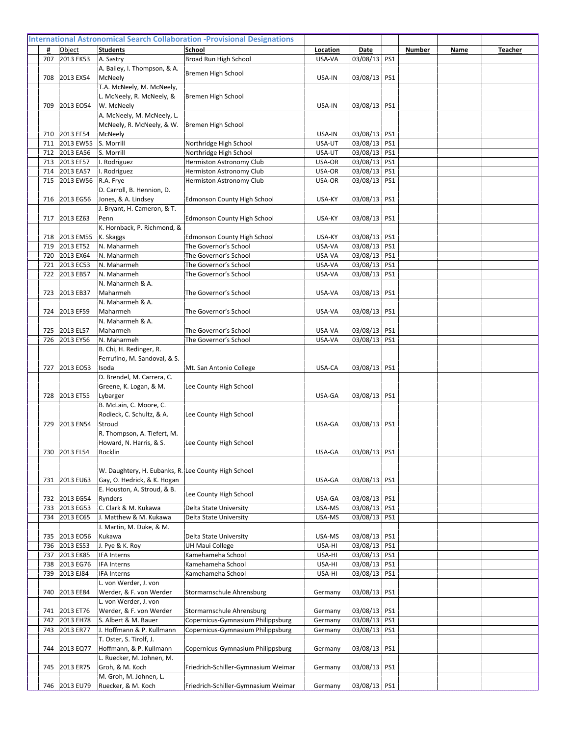| 707        | 2013 EK53              | A. Sastry                                                  |                                        | USA-VA           | 03/08/13 PS1                 |  |  |
|------------|------------------------|------------------------------------------------------------|----------------------------------------|------------------|------------------------------|--|--|
|            |                        | A. Bailey, I. Thompson, & A.                               | Broad Run High School                  |                  |                              |  |  |
| 708        | 2013 EX54              | McNeely                                                    | Bremen High School                     | USA-IN           | 03/08/13 PS1                 |  |  |
|            |                        | T.A. McNeely, M. McNeely,                                  |                                        |                  |                              |  |  |
|            |                        | L. McNeely, R. McNeely, &                                  | Bremen High School                     |                  |                              |  |  |
| 709        | 2013 EO54              | W. McNeely                                                 |                                        | USA-IN           | 03/08/13 PS1                 |  |  |
|            |                        | A. McNeely, M. McNeely, L.                                 |                                        |                  |                              |  |  |
|            |                        | McNeely, R. McNeely, & W.                                  | Bremen High School                     |                  |                              |  |  |
| 710<br>711 | 2013 EF54<br>2013 EW55 | McNeely<br>S. Morrill                                      | Northridge High School                 | USA-IN<br>USA-UT | 03/08/13 PS1<br>03/08/13 PS1 |  |  |
| 712        | 2013 EA56              | S. Morrill                                                 | Northridge High School                 | USA-UT           | 03/08/13 PS1                 |  |  |
| 713        | 2013 EF57              | I. Rodriguez                                               | Hermiston Astronomy Club               | USA-OR           | 03/08/13 PS1                 |  |  |
| 714        | 2013 EA57              | I. Rodriguez                                               | Hermiston Astronomy Club               | USA-OR           | 03/08/13 PS1                 |  |  |
| 715        | 2013 EW56              | R.A. Frye                                                  | Hermiston Astronomy Club               | USA-OR           | 03/08/13 PS1                 |  |  |
|            |                        | D. Carroll, B. Hennion, D.                                 |                                        |                  |                              |  |  |
| 716        | 2013 EG56              | Jones, & A. Lindsey                                        | <b>Edmonson County High School</b>     | USA-KY           | 03/08/13   PS1               |  |  |
|            |                        | J. Bryant, H. Cameron, & T.                                |                                        |                  |                              |  |  |
| 717        | 2013 EZ63              | Penn                                                       | <b>Edmonson County High School</b>     | USA-KY           | 03/08/13 PS1                 |  |  |
| 718        | 2013 EM55              | K. Hornback, P. Richmond, &<br>K. Skaggs                   | <b>Edmonson County High School</b>     | USA-KY           | 03/08/13 PS1                 |  |  |
| 719        | 2013 ET52              | N. Maharmeh                                                | The Governor's School                  | USA-VA           | 03/08/13 PS1                 |  |  |
| 720        | 2013 EX64              | N. Maharmeh                                                | The Governor's School                  | USA-VA           | 03/08/13 PS1                 |  |  |
| 721        | 2013 EC53              | N. Maharmeh                                                | The Governor's School                  | USA-VA           | 03/08/13 PS1                 |  |  |
| 722        | 2013 EB57              | N. Maharmeh                                                | The Governor's School                  | USA-VA           | 03/08/13 PS1                 |  |  |
|            |                        | N. Maharmeh & A.                                           |                                        |                  |                              |  |  |
| 723        | 2013 EB37              | Maharmeh                                                   | The Governor's School                  | USA-VA           | 03/08/13 PS1                 |  |  |
|            |                        | N. Maharmeh & A.                                           |                                        |                  |                              |  |  |
| 724        | 2013 EF59              | Maharmeh<br>N. Maharmeh & A.                               | The Governor's School                  | USA-VA           | 03/08/13 PS1                 |  |  |
| 725        | 2013 EL57              | Maharmeh                                                   | The Governor's School                  | USA-VA           | 03/08/13   PS1               |  |  |
| 726        | 2013 EY56              | N. Maharmeh                                                | The Governor's School                  | USA-VA           | 03/08/13 PS1                 |  |  |
|            |                        | B. Chi, H. Redinger, R.                                    |                                        |                  |                              |  |  |
|            |                        | Ferrufino, M. Sandoval, & S.                               |                                        |                  |                              |  |  |
| 727        | 2013 EO53              | Isoda                                                      | Mt. San Antonio College                | USA-CA           | 03/08/13   PS1               |  |  |
|            |                        | D. Brendel, M. Carrera, C.                                 |                                        |                  |                              |  |  |
|            |                        | Greene, K. Logan, & M.                                     | Lee County High School                 |                  |                              |  |  |
| 728        | 2013 ET55              | Lybarger<br>B. McLain, C. Moore, C.                        |                                        | USA-GA           | 03/08/13 PS1                 |  |  |
|            |                        | Rodieck, C. Schultz, & A.                                  | Lee County High School                 |                  |                              |  |  |
| 729        | 2013 EN54              | Stroud                                                     |                                        | USA-GA           | 03/08/13 PS1                 |  |  |
|            |                        | R. Thompson, A. Tiefert, M.                                |                                        |                  |                              |  |  |
|            |                        | Howard, N. Harris, & S.                                    | Lee County High School                 |                  |                              |  |  |
|            | 730 2013 EL54          | Rocklin                                                    |                                        | USA-GA           | 03/08/13 PS1                 |  |  |
|            |                        |                                                            |                                        |                  |                              |  |  |
|            |                        | W. Daughtery, H. Eubanks, R. Lee County High School        |                                        |                  |                              |  |  |
|            | 731 2013 EU63          | Gay, O. Hedrick, & K. Hogan<br>E. Houston, A. Stroud, & B. |                                        | USA-GA           | 03/08/13 PS1                 |  |  |
| 732        | 2013 EG54              | Rynders                                                    | Lee County High School                 | USA-GA           | 03/08/13 PS1                 |  |  |
| 733        | 2013 EG53              | C. Clark & M. Kukawa                                       | Delta State University                 | USA-MS           | 03/08/13 PS1                 |  |  |
| 734        | 2013 EC65              | J. Matthew & M. Kukawa                                     | Delta State University                 | USA-MS           | 03/08/13 PS1                 |  |  |
|            |                        | J. Martin, M. Duke, & M.                                   |                                        |                  |                              |  |  |
| 735        | 2013 EO56              | Kukawa                                                     | Delta State University                 | USA-MS           | 03/08/13 PS1                 |  |  |
| 736        | 2013 ES53              | J. Pye & K. Roy                                            | <b>UH Maui College</b>                 | USA-HI           | 03/08/13 PS1                 |  |  |
| 737        | 2013 EK85              | IFA Interns                                                | Kamehameha School                      | USA-HI           | 03/08/13 PS1                 |  |  |
| 738<br>739 | 2013 EG76<br>2013 EJ84 | <b>IFA Interns</b><br><b>IFA</b> Interns                   | Kamehameha School<br>Kamehameha School | USA-HI<br>USA-HI | 03/08/13 PS1<br>03/08/13 PS1 |  |  |
|            |                        | L. von Werder, J. von                                      |                                        |                  |                              |  |  |
| 740        | 2013 EE84              | Werder, & F. von Werder                                    | Stormarnschule Ahrensburg              | Germany          | 03/08/13 PS1                 |  |  |
|            |                        | L. von Werder, J. von                                      |                                        |                  |                              |  |  |
| 741        | 2013 ET76              | Werder, & F. von Werder                                    | Stormarnschule Ahrensburg              | Germany          | 03/08/13   PS1               |  |  |
| 742        | 2013 EH78              | S. Albert & M. Bauer                                       | Copernicus-Gymnasium Philippsburg      | Germany          | 03/08/13 PS1                 |  |  |
| 743        | 2013 ER77              | J. Hoffmann & P. Kullmann                                  | Copernicus-Gymnasium Philippsburg      | Germany          | 03/08/13 PS1                 |  |  |
|            |                        | T. Oster, S. Tirolf, J.                                    |                                        |                  |                              |  |  |
| 744        | 2013 EQ77              | Hoffmann, & P. Kullmann<br>L. Ruecker, M. Johnen, M.       | Copernicus-Gymnasium Philippsburg      | Germany          | 03/08/13 PS1                 |  |  |
| 745        | 2013 ER75              | Groh, & M. Koch                                            | Friedrich-Schiller-Gymnasium Weimar    | Germany          | 03/08/13   PS1               |  |  |
|            |                        | M. Groh, M. Johnen, L.                                     |                                        |                  |                              |  |  |
|            | 746 2013 EU79          | Ruecker, & M. Koch                                         | Friedrich-Schiller-Gymnasium Weimar    | Germany          | 03/08/13 PS1                 |  |  |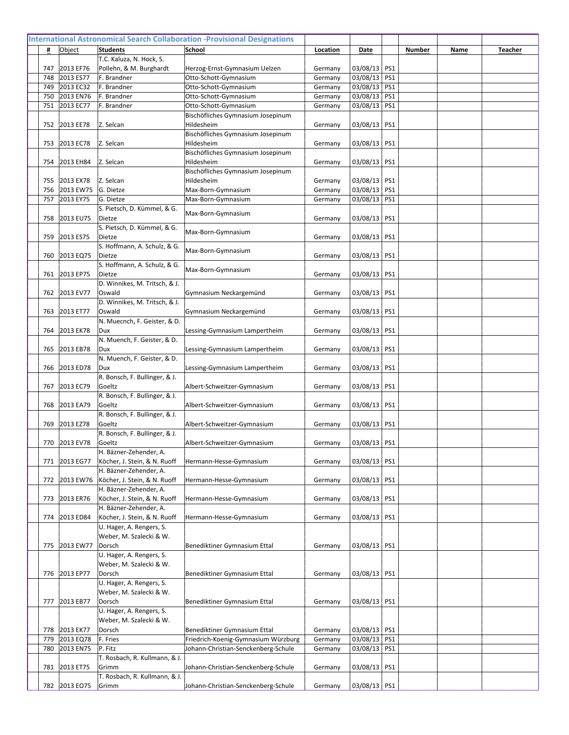|            |                        | T.C. Kaluza, N. Hock, S.                            |                                                                     |                    |                              |  |  |
|------------|------------------------|-----------------------------------------------------|---------------------------------------------------------------------|--------------------|------------------------------|--|--|
| 747<br>748 | 2013 EF76<br>2013 ES77 | Pollehn, & M. Burghardt<br>F. Brandner              | Herzog-Ernst-Gymnasium Uelzen<br>Otto-Schott-Gymnasium              | Germany<br>Germany | 03/08/13 PS1<br>03/08/13 PS1 |  |  |
| 749        | 2013 EC32              | F. Brandner                                         | Otto-Schott-Gymnasium                                               | Germany            | 03/08/13 PS1                 |  |  |
| 750        | 2013 EN76              | F. Brandner                                         | Otto-Schott-Gymnasium                                               | Germany            | 03/08/13 PS1                 |  |  |
| 751        | 2013 EC77              | F. Brandner                                         | Otto-Schott-Gymnasium                                               | Germany            | 03/08/13 PS1                 |  |  |
|            |                        |                                                     | Bischöfliches Gymnasium Josepinum                                   |                    |                              |  |  |
| 752        | 2013 EE78              | Z. Selcan                                           | Hildesheim                                                          | Germany            | 03/08/13 PS1                 |  |  |
|            |                        |                                                     | Bischöfliches Gymnasium Josepinum                                   |                    |                              |  |  |
| 753        | 2013 EC78              | Z. Selcan                                           | Hildesheim                                                          | Germany            | 03/08/13 PS1                 |  |  |
|            |                        |                                                     | Bischöfliches Gymnasium Josepinum                                   |                    |                              |  |  |
| 754        | 2013 EH84              | Z. Selcan                                           | Hildesheim                                                          | Germany            | 03/08/13 PS1                 |  |  |
|            |                        |                                                     | Bischöfliches Gymnasium Josepinum                                   |                    |                              |  |  |
| 755        | 2013 EX78              | Z. Selcan                                           | Hildesheim                                                          | Germany            | 03/08/13 PS1                 |  |  |
| 756        | 2013 EW75              | G. Dietze                                           | Max-Born-Gymnasium                                                  | Germany            | 03/08/13 PS1<br>03/08/13 PS1 |  |  |
| 757        | 2013 EY75              | G. Dietze<br>S. Pietsch, D. Kümmel, & G.            | Max-Born-Gymnasium                                                  | Germany            |                              |  |  |
| 758        | 2013 EU75              | Dietze                                              | Max-Born-Gymnasium                                                  | Germany            | 03/08/13 PS1                 |  |  |
|            |                        | S. Pietsch, D. Kümmel, & G.                         |                                                                     |                    |                              |  |  |
| 759        | 2013 ES75              | Dietze                                              | Max-Born-Gymnasium                                                  | Germany            | 03/08/13 PS1                 |  |  |
|            |                        | S. Hoffmann, A. Schulz, & G.                        |                                                                     |                    |                              |  |  |
| 760        | 2013 EQ75              | Dietze                                              | Max-Born-Gymnasium                                                  | Germany            | 03/08/13 PS1                 |  |  |
|            |                        | S. Hoffmann, A. Schulz, & G.                        | Max-Born-Gymnasium                                                  |                    |                              |  |  |
| 761        | 2013 EP75              | Dietze                                              |                                                                     | Germany            | 03/08/13 PS1                 |  |  |
|            |                        | D. Winnikes, M. Tritsch, & J.                       |                                                                     |                    |                              |  |  |
| 762        | 2013 EV77              | Oswald                                              | Gymnasium Neckargemünd                                              | Germany            | 03/08/13 PS1                 |  |  |
|            |                        | D. Winnikes, M. Tritsch, & J.                       |                                                                     |                    |                              |  |  |
| 763        | 2013 ET77              | Oswald<br>N. Muecnch, F. Geister, & D.              | Gymnasium Neckargemünd                                              | Germany            | 03/08/13   PS1               |  |  |
| 764        | 2013 EK78              | Dux                                                 | Lessing-Gymnasium Lampertheim                                       | Germany            | 03/08/13 PS1                 |  |  |
|            |                        | N. Muench, F. Geister, & D.                         |                                                                     |                    |                              |  |  |
| 765        | 2013 EB78              | Dux                                                 | Lessing-Gymnasium Lampertheim                                       | Germany            | 03/08/13 PS1                 |  |  |
|            |                        | N. Muench, F. Geister, & D.                         |                                                                     |                    |                              |  |  |
| 766        | 2013 ED78              | Dux                                                 | Lessing-Gymnasium Lampertheim                                       | Germany            | 03/08/13 PS1                 |  |  |
|            |                        | R. Bonsch, F. Bullinger, & J.                       |                                                                     |                    |                              |  |  |
| 767        | 2013 EC79              | Goeltz                                              | Albert-Schweitzer-Gymnasium                                         | Germany            | 03/08/13   PS1               |  |  |
|            |                        | R. Bonsch, F. Bullinger, & J.                       |                                                                     |                    |                              |  |  |
| 768        | 2013 EA79              | Goeltz                                              | Albert-Schweitzer-Gymnasium                                         | Germany            | 03/08/13 PS1                 |  |  |
|            |                        | R. Bonsch, F. Bullinger, & J.                       |                                                                     |                    |                              |  |  |
| 769        | 2013 EZ78              | Goeltz<br>R. Bonsch, F. Bullinger, & J.             | Albert-Schweitzer-Gymnasium                                         | Germany            | 03/08/13 PS1                 |  |  |
|            | 770 2013 EV78          | Goeltz                                              | Albert-Schweitzer-Gymnasium                                         | Germany            | 03/08/13 PS1                 |  |  |
|            |                        | H. Bäzner-Zehender, A.                              |                                                                     |                    |                              |  |  |
| 771        | 2013 EG77              | Köcher, J. Stein, & N. Ruoff                        | Hermann-Hesse-Gymnasium                                             | Germany            | 03/08/13 PS1                 |  |  |
|            |                        | H. Bäzner-Zehender, A.                              |                                                                     |                    |                              |  |  |
| 772        | 2013 EW76              | Köcher, J. Stein, & N. Ruoff                        | Hermann-Hesse-Gymnasium                                             | Germany            | 03/08/13   PS1               |  |  |
|            |                        | H. Bäzner-Zehender, A.                              |                                                                     |                    |                              |  |  |
| 773        | 2013 ER76              | Köcher, J. Stein, & N. Ruoff                        | Hermann-Hesse-Gymnasium                                             | Germany            | 03/08/13 PS1                 |  |  |
|            |                        | H. Bäzner-Zehender, A.                              |                                                                     |                    |                              |  |  |
| 774        | 2013 ED84              | Köcher, J. Stein, & N. Ruoff                        | Hermann-Hesse-Gymnasium                                             | Germany            | 03/08/13   PS1               |  |  |
|            |                        | U. Hager, A. Rengers, S.<br>Weber, M. Szalecki & W. |                                                                     |                    |                              |  |  |
| 775        | 2013 EW77              | Dorsch                                              | Benediktiner Gymnasium Ettal                                        | Germany            | 03/08/13 PS1                 |  |  |
|            |                        | U. Hager, A. Rengers, S.                            |                                                                     |                    |                              |  |  |
|            |                        | Weber, M. Szalecki & W.                             |                                                                     |                    |                              |  |  |
| 776        | 2013 EP77              | Dorsch                                              | Benediktiner Gymnasium Ettal                                        | Germany            | 03/08/13 PS1                 |  |  |
|            |                        | U. Hager, A. Rengers, S.                            |                                                                     |                    |                              |  |  |
|            |                        | Weber, M. Szalecki & W.                             |                                                                     |                    |                              |  |  |
| 777        | 2013 EB77              | Dorsch                                              | Benediktiner Gymnasium Ettal                                        | Germany            | 03/08/13 PS1                 |  |  |
|            |                        | U. Hager, A. Rengers, S.                            |                                                                     |                    |                              |  |  |
|            |                        | Weber, M. Szalecki & W.                             |                                                                     |                    |                              |  |  |
| 778<br>779 | 2013 EK77<br>2013 EQ78 | Dorsch<br>F. Fries                                  | Benediktiner Gymnasium Ettal<br>Friedrich-Koenig-Gymnasium Würzburg | Germany<br>Germany | 03/08/13 PS1<br>03/08/13 PS1 |  |  |
| 780        | 2013 EN75              | P. Fitz                                             | Johann-Christian-Senckenberg-Schule                                 | Germany            | 03/08/13 PS1                 |  |  |
|            |                        | T. Rosbach, R. Kullmann, & J.                       |                                                                     |                    |                              |  |  |
| 781        | 2013 ET75              | Grimm                                               | Johann-Christian-Senckenberg-Schule                                 | Germany            | 03/08/13 PS1                 |  |  |
|            |                        | T. Rosbach, R. Kullmann, & J.                       |                                                                     |                    |                              |  |  |
|            | 782 2013 EO75          | Grimm                                               | Johann-Christian-Senckenberg-Schule                                 | Germany            | 03/08/13 PS1                 |  |  |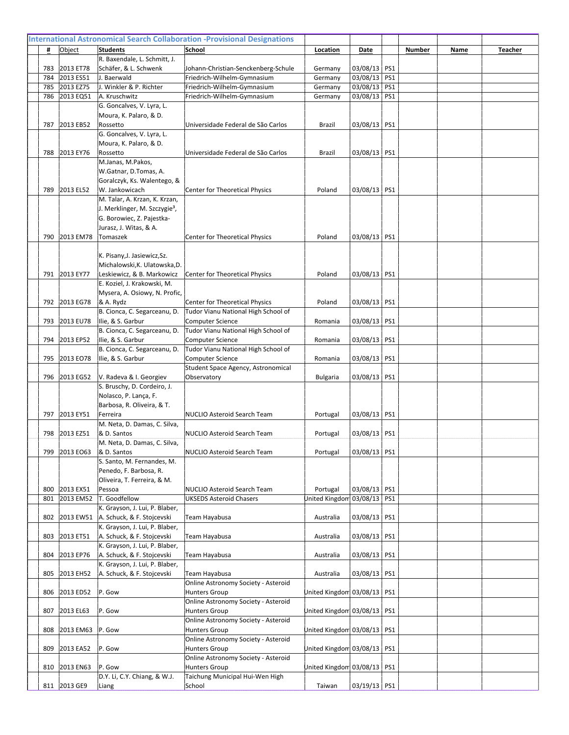|     |                  | R. Baxendale, L. Schmitt, J.                |                                                             |                               |                |     |  |  |
|-----|------------------|---------------------------------------------|-------------------------------------------------------------|-------------------------------|----------------|-----|--|--|
| 783 | 2013 ET78        | Schäfer, & L. Schwenk                       | Johann-Christian-Senckenberg-Schule                         | Germany                       | 03/08/13 PS1   |     |  |  |
| 784 | 2013 ES51        | J. Baerwald                                 | Friedrich-Wilhelm-Gymnasium                                 | Germany                       | 03/08/13 PS1   |     |  |  |
| 785 | 2013 EZ75        | J. Winkler & P. Richter                     | Friedrich-Wilhelm-Gymnasium                                 | Germany                       | 03/08/13 PS1   |     |  |  |
| 786 | 2013 EQ51        | A. Kruschwitz                               | Friedrich-Wilhelm-Gymnasium                                 | Germany                       | 03/08/13 PS1   |     |  |  |
|     |                  | G. Goncalves, V. Lyra, L.                   |                                                             |                               |                |     |  |  |
|     | 2013 EB52        | Moura, K. Palaro, & D.<br>Rossetto          | Universidade Federal de São Carlos                          | Brazil                        |                |     |  |  |
| 787 |                  | G. Goncalves, V. Lyra, L.                   |                                                             |                               | 03/08/13 PS1   |     |  |  |
|     |                  | Moura, K. Palaro, & D.                      |                                                             |                               |                |     |  |  |
| 788 | 2013 EY76        | Rossetto                                    | Universidade Federal de São Carlos                          | Brazil                        | 03/08/13   PS1 |     |  |  |
|     |                  | M.Janas, M.Pakos,                           |                                                             |                               |                |     |  |  |
|     |                  | W.Gatnar, D.Tomas, A.                       |                                                             |                               |                |     |  |  |
|     |                  | Goralczyk, Ks. Walentego, &                 |                                                             |                               |                |     |  |  |
| 789 | 2013 EL52        | W. Jankowicach                              | Center for Theoretical Physics                              | Poland                        | 03/08/13 PS1   |     |  |  |
|     |                  | M. Talar, A. Krzan, K. Krzan,               |                                                             |                               |                |     |  |  |
|     |                  | J. Merklinger, M. Szczygie <sup>3</sup> ,   |                                                             |                               |                |     |  |  |
|     |                  | G. Borowiec, Z. Pajestka-                   |                                                             |                               |                |     |  |  |
|     |                  | Jurasz, J. Witas, & A.                      |                                                             |                               |                |     |  |  |
| 790 | 2013 EM78        | Tomaszek                                    | Center for Theoretical Physics                              | Poland                        | 03/08/13   PS1 |     |  |  |
|     |                  |                                             |                                                             |                               |                |     |  |  |
|     |                  | K. Pisany, J. Jasiewicz, Sz.                |                                                             |                               |                |     |  |  |
|     |                  | Michalowski, K. Ulatowska, D.               |                                                             |                               |                |     |  |  |
| 791 | 2013 EY77        | Leskiewicz, & B. Markowicz                  | Center for Theoretical Physics                              | Poland                        | 03/08/13       | PS1 |  |  |
|     |                  | E. Koziel, J. Krakowski, M.                 |                                                             |                               |                |     |  |  |
|     |                  | Mysera, A. Osiowy, N. Profic,               |                                                             |                               |                |     |  |  |
| 792 | 2013 EG78        | & A. Rydz                                   | <b>Center for Theoretical Physics</b>                       | Poland                        | 03/08/13 PS1   |     |  |  |
|     |                  | B. Cionca, C. Segarceanu, D.                | Tudor Vianu National High School of                         |                               |                |     |  |  |
| 793 | 2013 EU78        | Ilie, & S. Garbur                           | <b>Computer Science</b>                                     | Romania                       | 03/08/13       | PS1 |  |  |
|     |                  | B. Cionca, C. Segarceanu, D.                | Tudor Vianu National High School of                         |                               |                |     |  |  |
| 794 | 2013 EP52        | Ilie, & S. Garbur                           | <b>Computer Science</b>                                     | Romania                       | 03/08/13 PS1   |     |  |  |
|     |                  | B. Cionca, C. Segarceanu, D.                | Tudor Vianu National High School of                         |                               |                |     |  |  |
| 795 | 2013 EO78        | Ilie, & S. Garbur                           | <b>Computer Science</b>                                     | Romania                       | 03/08/13 PS1   |     |  |  |
|     |                  |                                             |                                                             |                               |                |     |  |  |
|     |                  |                                             | Student Space Agency, Astronomical                          |                               |                |     |  |  |
| 796 | 2013 EG52        | V. Radeva & I. Georgiev                     | Observatory                                                 | Bulgaria                      | 03/08/13       | PS1 |  |  |
|     |                  | S. Bruschy, D. Cordeiro, J.                 |                                                             |                               |                |     |  |  |
|     |                  | Nolasco, P. Lança, F.                       |                                                             |                               |                |     |  |  |
|     |                  | Barbosa, R. Oliveira, & T.                  |                                                             |                               |                |     |  |  |
| 797 | 2013 EY51        | Ferreira                                    | NUCLIO Asteroid Search Team                                 | Portugal                      | 03/08/13 PS1   |     |  |  |
| 798 | 2013 EZ51        | M. Neta, D. Damas, C. Silva,                |                                                             |                               |                |     |  |  |
|     |                  | & D. Santos<br>M. Neta, D. Damas, C. Silva, | NUCLIO Asteroid Search Team                                 | Portugal                      | 03/08/13       | PS1 |  |  |
| 799 | 2013 EO63        | & D. Santos                                 | NUCLIO Asteroid Search Team                                 | Portugal                      | 03/08/13   PS1 |     |  |  |
|     |                  | S. Santo, M. Fernandes, M.                  |                                                             |                               |                |     |  |  |
|     |                  | Penedo, F. Barbosa, R.                      |                                                             |                               |                |     |  |  |
|     |                  | Oliveira, T. Ferreira, & M.                 |                                                             |                               |                |     |  |  |
| 800 | 2013 EX51        | Pessoa                                      | NUCLIO Asteroid Search Team                                 | Portugal                      | 03/08/13 PS1   |     |  |  |
| 801 | 2013 EM52        | T. Goodfellow                               | <b>UKSEDS Asteroid Chasers</b>                              | Jnited Kingdom 03/08/13   PS1 |                |     |  |  |
|     |                  | K. Grayson, J. Lui, P. Blaber,              |                                                             |                               |                |     |  |  |
| 802 |                  | 2013 EW51   A. Schuck, & F. Stojcevski      | Team Hayabusa                                               | Australia                     | 03/08/13 PS1   |     |  |  |
|     |                  | K. Grayson, J. Lui, P. Blaber,              |                                                             |                               |                |     |  |  |
| 803 | 2013 ET51        | A. Schuck, & F. Stojcevski                  | Team Hayabusa                                               | Australia                     | 03/08/13 PS1   |     |  |  |
|     |                  | K. Grayson, J. Lui, P. Blaber,              |                                                             |                               |                |     |  |  |
| 804 | 2013 EP76        | A. Schuck, & F. Stojcevski                  | Team Hayabusa                                               | Australia                     | 03/08/13 PS1   |     |  |  |
|     |                  | K. Grayson, J. Lui, P. Blaber,              |                                                             |                               |                |     |  |  |
| 805 | 2013 EH52        | A. Schuck, & F. Stojcevski                  | <b>Team Hayabusa</b>                                        | Australia                     | 03/08/13   PS1 |     |  |  |
|     |                  |                                             | Online Astronomy Society - Asteroid                         |                               |                |     |  |  |
| 806 | 2013 ED52        | P. Gow                                      | <b>Hunters Group</b><br>Online Astronomy Society - Asteroid | United Kingdom 03/08/13   PS1 |                |     |  |  |
| 807 | 2013 EL63        | P. Gow                                      | <b>Hunters Group</b>                                        | United Kingdom 03/08/13   PS1 |                |     |  |  |
|     |                  |                                             | Online Astronomy Society - Asteroid                         |                               |                |     |  |  |
| 808 | 2013 EM63 P. Gow |                                             | <b>Hunters Group</b>                                        | United Kingdom 03/08/13   PS1 |                |     |  |  |
|     |                  |                                             | Online Astronomy Society - Asteroid                         |                               |                |     |  |  |
| 809 | 2013 EA52        | P. Gow                                      | <b>Hunters Group</b>                                        | United Kingdom 03/08/13   PS1 |                |     |  |  |
|     |                  |                                             | Online Astronomy Society - Asteroid                         |                               |                |     |  |  |
| 810 | 2013 EN63        | P. Gow                                      | <b>Hunters Group</b>                                        | United Kingdom 03/08/13   PS1 |                |     |  |  |
|     | 811 2013 GE9     | D.Y. Li, C.Y. Chiang, & W.J.<br>Liang       | Taichung Municipal Hui-Wen High<br>School                   | Taiwan                        | 03/19/13 PS1   |     |  |  |